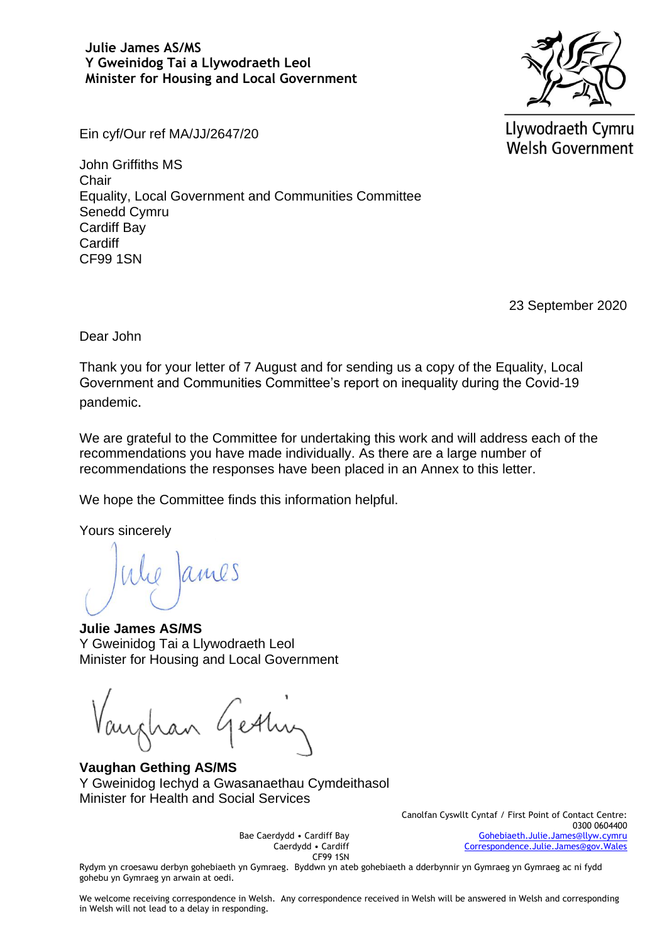### **Julie James AS/MS Y Gweinidog Tai a Llywodraeth Leol Minister for Housing and Local Government**



Llywodraeth Cymru **Welsh Government** 

Ein cyf/Our ref MA/JJ/2647/20

John Griffiths MS **Chair** Equality, Local Government and Communities Committee Senedd Cymru Cardiff Bay **Cardiff** CF99 1SN

23 September 2020

Dear John

Thank you for your letter of 7 August and for sending us a copy of the Equality, Local Government and Communities Committee's report on inequality during the Covid-19 pandemic.

We are grateful to the Committee for undertaking this work and will address each of the recommendations you have made individually. As there are a large number of recommendations the responses have been placed in an Annex to this letter.

We hope the Committee finds this information helpful.

Yours sincerely

**Julie James AS/MS** Y Gweinidog Tai a Llywodraeth Leol Minister for Housing and Local Government

**Vaughan Gething AS/MS** Y Gweinidog Iechyd a Gwasanaethau Cymdeithasol Minister for Health and Social Services

> Canolfan Cyswllt Cyntaf / First Point of Contact Centre: 0300 0604400 [Gohebiaeth.Julie.James@llyw.cymru](mailto:Gohebiaeth.Julie.James@llyw.cymru) [Correspondence.Julie.James@gov.Wales](mailto:Correspondence.Julie.James@gov.Wales)

Rydym yn croesawu derbyn gohebiaeth yn Gymraeg. Byddwn yn ateb gohebiaeth a dderbynnir yn Gymraeg yn Gymraeg ac ni fydd gohebu yn Gymraeg yn arwain at oedi.

Bae Caerdydd • Cardiff Bay Caerdydd • Cardiff CF99 1SN

We welcome receiving correspondence in Welsh. Any correspondence received in Welsh will be answered in Welsh and corresponding in Welsh will not lead to a delay in responding.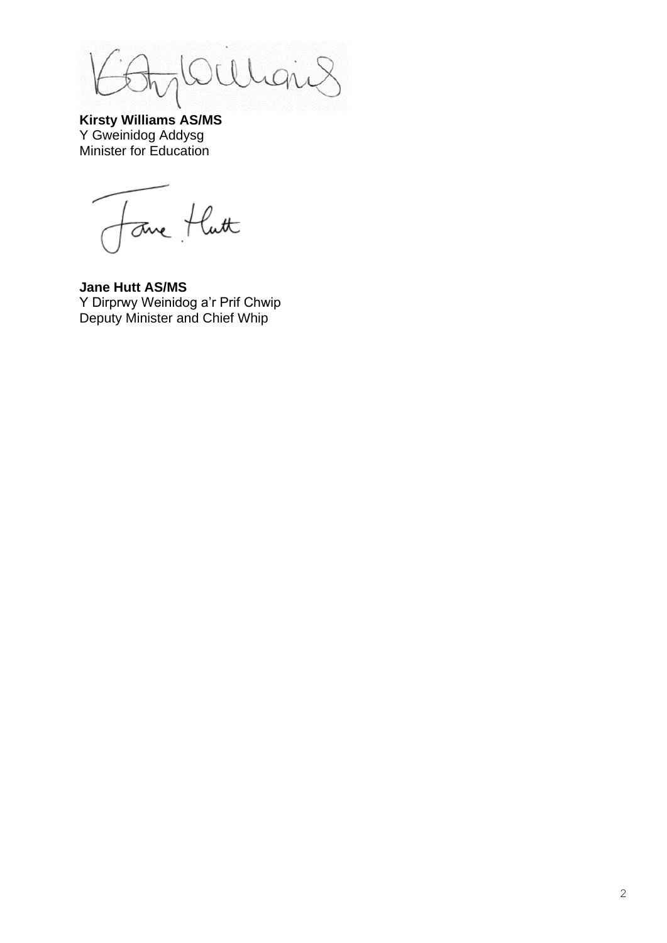$\overline{h}$ QU  $\lambda$  (

**Kirsty Williams AS/MS** Y Gweinidog Addysg Minister for Education

Forme flutt

**Jane Hutt AS/MS** Y Dirprwy Weinidog a'r Prif Chwip Deputy Minister and Chief Whip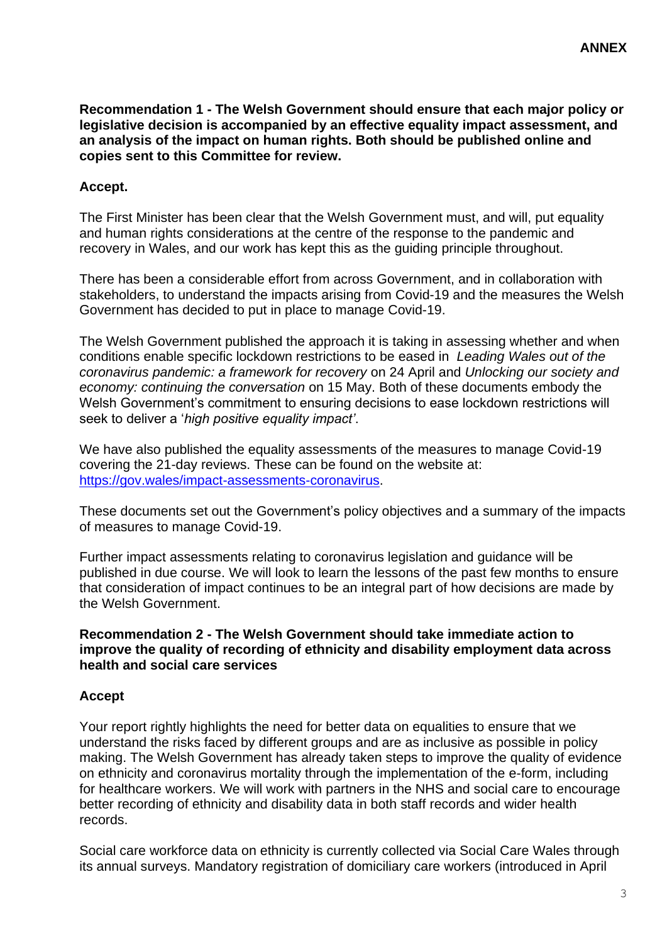**Recommendation 1 - The Welsh Government should ensure that each major policy or legislative decision is accompanied by an effective equality impact assessment, and an analysis of the impact on human rights. Both should be published online and copies sent to this Committee for review.**

# **Accept.**

The First Minister has been clear that the Welsh Government must, and will, put equality and human rights considerations at the centre of the response to the pandemic and recovery in Wales, and our work has kept this as the guiding principle throughout.

There has been a considerable effort from across Government, and in collaboration with stakeholders, to understand the impacts arising from Covid-19 and the measures the Welsh Government has decided to put in place to manage Covid-19.

The Welsh Government published the approach it is taking in assessing whether and when conditions enable specific lockdown restrictions to be eased in *Leading Wales out of the coronavirus pandemic: a framework for recovery* on 24 April and *Unlocking our society and economy: continuing the conversation* on 15 May. Both of these documents embody the Welsh Government's commitment to ensuring decisions to ease lockdown restrictions will seek to deliver a '*high positive equality impact'*.

We have also published the equality assessments of the measures to manage Covid-19 covering the 21-day reviews. These can be found on the website at: [https://gov.wales/impact-assessments-coronavirus.](https://gov.wales/impact-assessments-coronavirus)

These documents set out the Government's policy objectives and a summary of the impacts of measures to manage Covid-19.

Further impact assessments relating to coronavirus legislation and guidance will be published in due course. We will look to learn the lessons of the past few months to ensure that consideration of impact continues to be an integral part of how decisions are made by the Welsh Government.

#### **Recommendation 2 - The Welsh Government should take immediate action to improve the quality of recording of ethnicity and disability employment data across health and social care services**

#### **Accept**

Your report rightly highlights the need for better data on equalities to ensure that we understand the risks faced by different groups and are as inclusive as possible in policy making. The Welsh Government has already taken steps to improve the quality of evidence on ethnicity and coronavirus mortality through the implementation of the e-form, including for healthcare workers. We will work with partners in the NHS and social care to encourage better recording of ethnicity and disability data in both staff records and wider health records.

Social care workforce data on ethnicity is currently collected via Social Care Wales through its annual surveys. Mandatory registration of domiciliary care workers (introduced in April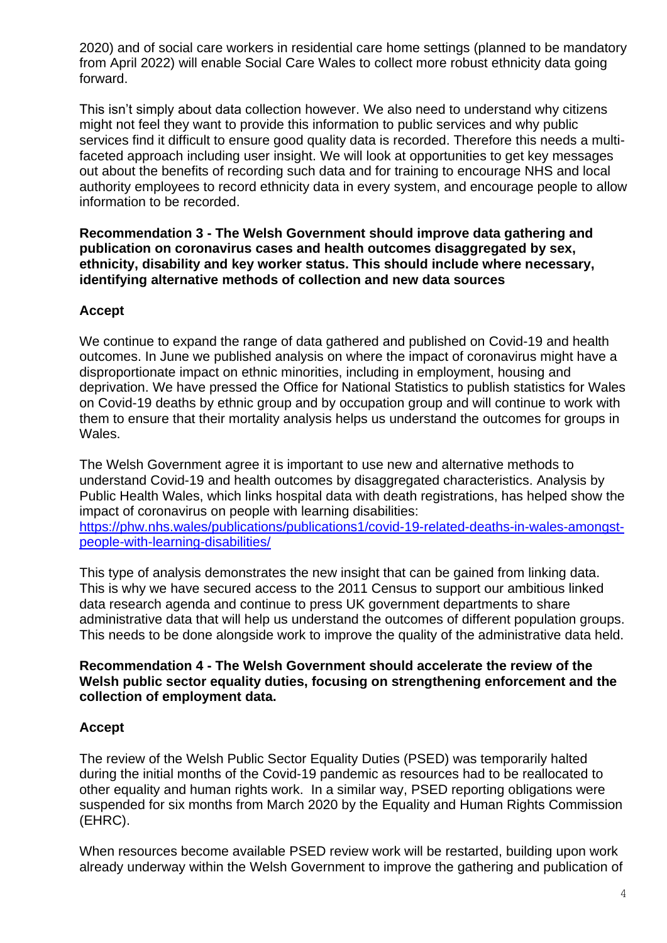2020) and of social care workers in residential care home settings (planned to be mandatory from April 2022) will enable Social Care Wales to collect more robust ethnicity data going forward.

This isn't simply about data collection however. We also need to understand why citizens might not feel they want to provide this information to public services and why public services find it difficult to ensure good quality data is recorded. Therefore this needs a multifaceted approach including user insight. We will look at opportunities to get key messages out about the benefits of recording such data and for training to encourage NHS and local authority employees to record ethnicity data in every system, and encourage people to allow information to be recorded.

**Recommendation 3 - The Welsh Government should improve data gathering and publication on coronavirus cases and health outcomes disaggregated by sex, ethnicity, disability and key worker status. This should include where necessary, identifying alternative methods of collection and new data sources**

# **Accept**

We continue to expand the range of data gathered and published on Covid-19 and health outcomes. In June we published analysis on where the impact of coronavirus might have a disproportionate impact on ethnic minorities, including in employment, housing and deprivation. We have pressed the Office for National Statistics to publish statistics for Wales on Covid-19 deaths by ethnic group and by occupation group and will continue to work with them to ensure that their mortality analysis helps us understand the outcomes for groups in Wales.

The Welsh Government agree it is important to use new and alternative methods to understand Covid-19 and health outcomes by disaggregated characteristics. Analysis by Public Health Wales, which links hospital data with death registrations, has helped show the impact of coronavirus on people with learning disabilities: [https://phw.nhs.wales/publications/publications1/covid-19-related-deaths-in-wales-amongst](https://eur01.safelinks.protection.outlook.com/?url=https%3A%2F%2Fphw.nhs.wales%2Fpublications%2Fpublications1%2Fcovid-19-related-deaths-in-wales-amongst-people-with-learning-disabilities%2F&data=02%7C01%7CEPSGovernmentBusiness%40gov.wales%7C91d059a792a4411e2d0708d85563592a%7Ca2cc36c592804ae78887d06dab89216b%7C0%7C0%7C637353232462905386&sdata=xCB2dPAw6mwOJRuOe0F9xKwcht6fAtjAkHvhKxyEZy0%3D&reserved=0)[people-with-learning-disabilities/](https://eur01.safelinks.protection.outlook.com/?url=https%3A%2F%2Fphw.nhs.wales%2Fpublications%2Fpublications1%2Fcovid-19-related-deaths-in-wales-amongst-people-with-learning-disabilities%2F&data=02%7C01%7CEPSGovernmentBusiness%40gov.wales%7C91d059a792a4411e2d0708d85563592a%7Ca2cc36c592804ae78887d06dab89216b%7C0%7C0%7C637353232462905386&sdata=xCB2dPAw6mwOJRuOe0F9xKwcht6fAtjAkHvhKxyEZy0%3D&reserved=0)

This type of analysis demonstrates the new insight that can be gained from linking data. This is why we have secured access to the 2011 Census to support our ambitious linked data research agenda and continue to press UK government departments to share administrative data that will help us understand the outcomes of different population groups. This needs to be done alongside work to improve the quality of the administrative data held.

#### **Recommendation 4 - The Welsh Government should accelerate the review of the Welsh public sector equality duties, focusing on strengthening enforcement and the collection of employment data.**

# **Accept**

The review of the Welsh Public Sector Equality Duties (PSED) was temporarily halted during the initial months of the Covid-19 pandemic as resources had to be reallocated to other equality and human rights work. In a similar way, PSED reporting obligations were suspended for six months from March 2020 by the Equality and Human Rights Commission (EHRC).

When resources become available PSED review work will be restarted, building upon work already underway within the Welsh Government to improve the gathering and publication of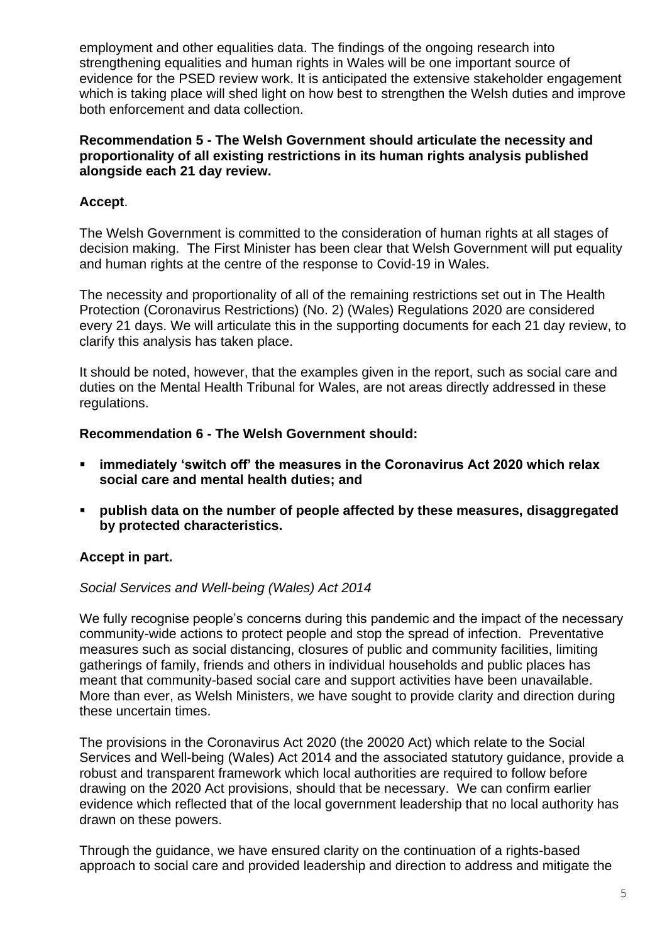employment and other equalities data. The findings of the ongoing research into strengthening equalities and human rights in Wales will be one important source of evidence for the PSED review work. It is anticipated the extensive stakeholder engagement which is taking place will shed light on how best to strengthen the Welsh duties and improve both enforcement and data collection.

### **Recommendation 5 - The Welsh Government should articulate the necessity and proportionality of all existing restrictions in its human rights analysis published alongside each 21 day review.**

# **Accept**.

The Welsh Government is committed to the consideration of human rights at all stages of decision making. The First Minister has been clear that Welsh Government will put equality and human rights at the centre of the response to Covid-19 in Wales.

The necessity and proportionality of all of the remaining restrictions set out in The Health Protection (Coronavirus Restrictions) (No. 2) (Wales) Regulations 2020 are considered every 21 days. We will articulate this in the supporting documents for each 21 day review, to clarify this analysis has taken place.

It should be noted, however, that the examples given in the report, such as social care and duties on the Mental Health Tribunal for Wales, are not areas directly addressed in these regulations.

### **Recommendation 6 - The Welsh Government should:**

- **immediately 'switch off' the measures in the Coronavirus Act 2020 which relax social care and mental health duties; and**
- **publish data on the number of people affected by these measures, disaggregated by protected characteristics.**

# **Accept in part.**

#### *Social Services and Well-being (Wales) Act 2014*

We fully recognise people's concerns during this pandemic and the impact of the necessary community-wide actions to protect people and stop the spread of infection. Preventative measures such as social distancing, closures of public and community facilities, limiting gatherings of family, friends and others in individual households and public places has meant that community-based social care and support activities have been unavailable. More than ever, as Welsh Ministers, we have sought to provide clarity and direction during these uncertain times.

The provisions in the Coronavirus Act 2020 (the 20020 Act) which relate to the Social Services and Well-being (Wales) Act 2014 and the associated statutory guidance, provide a robust and transparent framework which local authorities are required to follow before drawing on the 2020 Act provisions, should that be necessary. We can confirm earlier evidence which reflected that of the local government leadership that no local authority has drawn on these powers.

Through the guidance, we have ensured clarity on the continuation of a rights-based approach to social care and provided leadership and direction to address and mitigate the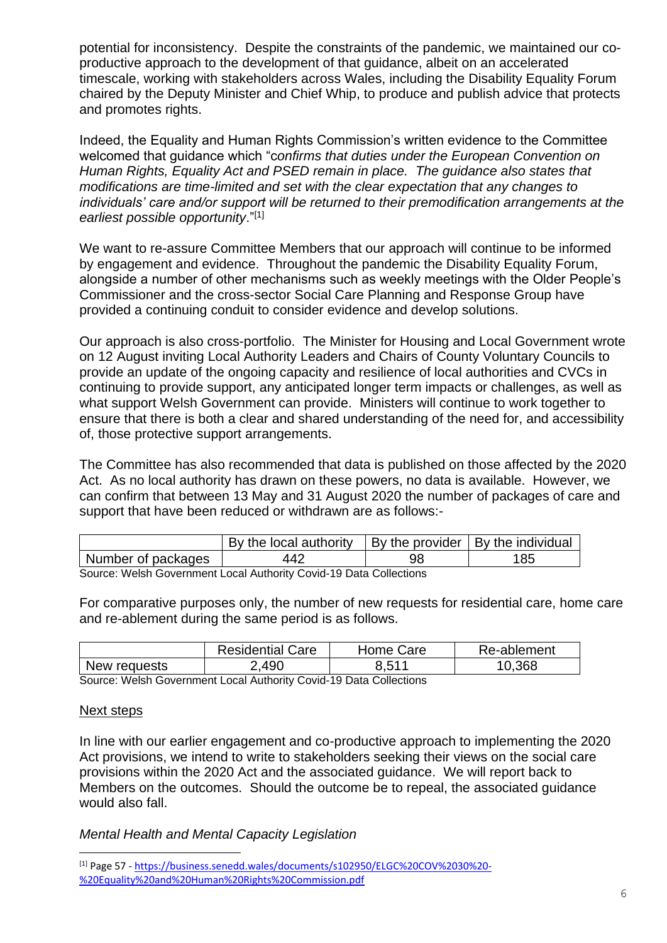potential for inconsistency. Despite the constraints of the pandemic, we maintained our coproductive approach to the development of that guidance, albeit on an accelerated timescale, working with stakeholders across Wales, including the Disability Equality Forum chaired by the Deputy Minister and Chief Whip, to produce and publish advice that protects and promotes rights.

Indeed, the Equality and Human Rights Commission's written evidence to the Committee welcomed that guidance which "c*onfirms that duties under the European Convention on Human Rights, Equality Act and PSED remain in place. The guidance also states that modifications are time-limited and set with the clear expectation that any changes to individuals' care and/or support will be returned to their premodification arrangements at the earliest possible opportunity*."[1]

We want to re-assure Committee Members that our approach will continue to be informed by engagement and evidence. Throughout the pandemic the Disability Equality Forum, alongside a number of other mechanisms such as weekly meetings with the Older People's Commissioner and the cross-sector Social Care Planning and Response Group have provided a continuing conduit to consider evidence and develop solutions.

Our approach is also cross-portfolio. The Minister for Housing and Local Government wrote on 12 August inviting Local Authority Leaders and Chairs of County Voluntary Councils to provide an update of the ongoing capacity and resilience of local authorities and CVCs in continuing to provide support, any anticipated longer term impacts or challenges, as well as what support Welsh Government can provide. Ministers will continue to work together to ensure that there is both a clear and shared understanding of the need for, and accessibility of, those protective support arrangements.

The Committee has also recommended that data is published on those affected by the 2020 Act. As no local authority has drawn on these powers, no data is available. However, we can confirm that between 13 May and 31 August 2020 the number of packages of care and support that have been reduced or withdrawn are as follows:-

|                    | By the local authority |    | By the provider   By the individual |
|--------------------|------------------------|----|-------------------------------------|
| Number of packages | 442                    | 98 | 185                                 |

Source: Welsh Government Local Authority Covid-19 Data Collections

For comparative purposes only, the number of new requests for residential care, home care and re-ablement during the same period is as follows.

|              | <b>Residential Care</b> | Home Care | Re-ablement |
|--------------|-------------------------|-----------|-------------|
| New requests | 2,490                   | 651 A     | 0.368       |
| $\sim$       | .                       |           |             |

Source: Welsh Government Local Authority Covid-19 Data Collections

#### Next steps

L,

In line with our earlier engagement and co-productive approach to implementing the 2020 Act provisions, we intend to write to stakeholders seeking their views on the social care provisions within the 2020 Act and the associated guidance. We will report back to Members on the outcomes. Should the outcome be to repeal, the associated guidance would also fall.

*Mental Health and Mental Capacity Legislation*

<sup>[1]</sup> Page 57 - [https://business.senedd.wales/documents/s102950/ELGC%20COV%2030%20-](https://eur01.safelinks.protection.outlook.com/?url=https%3A%2F%2Fbusiness.senedd.wales%2Fdocuments%2Fs102950%2FELGC%2520COV%252030%2520-%2520Equality%2520and%2520Human%2520Rights%2520Commission.pdf&data=02%7C01%7CDavid.Clayton%40gov.wales%7C8152d7946afb4f8d80e508d8535d9708%7Ca2cc36c592804ae78887d06dab89216b%7C0%7C0%7C637351008709683505&sdata=8czy%2FFrnAX2LiFnZwVei1F99EBR9tgJoH9MeDzqBIKs%3D&reserved=0) [%20Equality%20and%20Human%20Rights%20Commission.pdf](https://eur01.safelinks.protection.outlook.com/?url=https%3A%2F%2Fbusiness.senedd.wales%2Fdocuments%2Fs102950%2FELGC%2520COV%252030%2520-%2520Equality%2520and%2520Human%2520Rights%2520Commission.pdf&data=02%7C01%7CDavid.Clayton%40gov.wales%7C8152d7946afb4f8d80e508d8535d9708%7Ca2cc36c592804ae78887d06dab89216b%7C0%7C0%7C637351008709683505&sdata=8czy%2FFrnAX2LiFnZwVei1F99EBR9tgJoH9MeDzqBIKs%3D&reserved=0)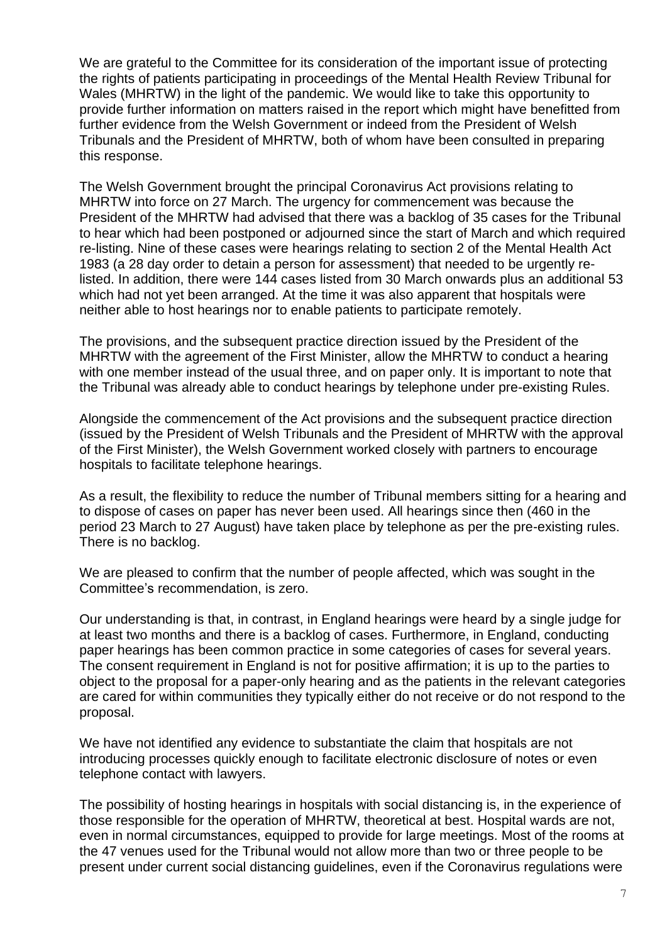We are grateful to the Committee for its consideration of the important issue of protecting the rights of patients participating in proceedings of the Mental Health Review Tribunal for Wales (MHRTW) in the light of the pandemic. We would like to take this opportunity to provide further information on matters raised in the report which might have benefitted from further evidence from the Welsh Government or indeed from the President of Welsh Tribunals and the President of MHRTW, both of whom have been consulted in preparing this response.

The Welsh Government brought the principal Coronavirus Act provisions relating to MHRTW into force on 27 March. The urgency for commencement was because the President of the MHRTW had advised that there was a backlog of 35 cases for the Tribunal to hear which had been postponed or adjourned since the start of March and which required re-listing. Nine of these cases were hearings relating to section 2 of the Mental Health Act 1983 (a 28 day order to detain a person for assessment) that needed to be urgently relisted. In addition, there were 144 cases listed from 30 March onwards plus an additional 53 which had not yet been arranged. At the time it was also apparent that hospitals were neither able to host hearings nor to enable patients to participate remotely.

The provisions, and the subsequent practice direction issued by the President of the MHRTW with the agreement of the First Minister, allow the MHRTW to conduct a hearing with one member instead of the usual three, and on paper only. It is important to note that the Tribunal was already able to conduct hearings by telephone under pre-existing Rules.

Alongside the commencement of the Act provisions and the subsequent practice direction (issued by the President of Welsh Tribunals and the President of MHRTW with the approval of the First Minister), the Welsh Government worked closely with partners to encourage hospitals to facilitate telephone hearings.

As a result, the flexibility to reduce the number of Tribunal members sitting for a hearing and to dispose of cases on paper has never been used. All hearings since then (460 in the period 23 March to 27 August) have taken place by telephone as per the pre-existing rules. There is no backlog.

We are pleased to confirm that the number of people affected, which was sought in the Committee's recommendation, is zero.

Our understanding is that, in contrast, in England hearings were heard by a single judge for at least two months and there is a backlog of cases. Furthermore, in England, conducting paper hearings has been common practice in some categories of cases for several years. The consent requirement in England is not for positive affirmation; it is up to the parties to object to the proposal for a paper-only hearing and as the patients in the relevant categories are cared for within communities they typically either do not receive or do not respond to the proposal.

We have not identified any evidence to substantiate the claim that hospitals are not introducing processes quickly enough to facilitate electronic disclosure of notes or even telephone contact with lawyers.

The possibility of hosting hearings in hospitals with social distancing is, in the experience of those responsible for the operation of MHRTW, theoretical at best. Hospital wards are not, even in normal circumstances, equipped to provide for large meetings. Most of the rooms at the 47 venues used for the Tribunal would not allow more than two or three people to be present under current social distancing guidelines, even if the Coronavirus regulations were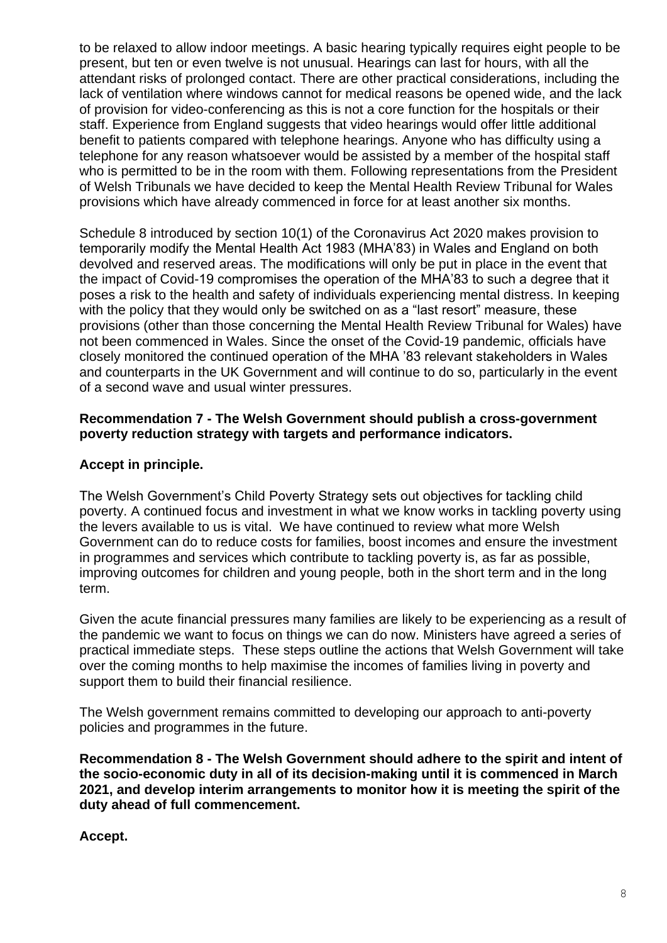to be relaxed to allow indoor meetings. A basic hearing typically requires eight people to be present, but ten or even twelve is not unusual. Hearings can last for hours, with all the attendant risks of prolonged contact. There are other practical considerations, including the lack of ventilation where windows cannot for medical reasons be opened wide, and the lack of provision for video-conferencing as this is not a core function for the hospitals or their staff. Experience from England suggests that video hearings would offer little additional benefit to patients compared with telephone hearings. Anyone who has difficulty using a telephone for any reason whatsoever would be assisted by a member of the hospital staff who is permitted to be in the room with them. Following representations from the President of Welsh Tribunals we have decided to keep the Mental Health Review Tribunal for Wales provisions which have already commenced in force for at least another six months.

Schedule 8 introduced by section 10(1) of the Coronavirus Act 2020 makes provision to temporarily modify the Mental Health Act 1983 (MHA'83) in Wales and England on both devolved and reserved areas. The modifications will only be put in place in the event that the impact of Covid-19 compromises the operation of the MHA'83 to such a degree that it poses a risk to the health and safety of individuals experiencing mental distress. In keeping with the policy that they would only be switched on as a "last resort" measure, these provisions (other than those concerning the Mental Health Review Tribunal for Wales) have not been commenced in Wales. Since the onset of the Covid-19 pandemic, officials have closely monitored the continued operation of the MHA '83 relevant stakeholders in Wales and counterparts in the UK Government and will continue to do so, particularly in the event of a second wave and usual winter pressures.

### **Recommendation 7 - The Welsh Government should publish a cross-government poverty reduction strategy with targets and performance indicators.**

### **Accept in principle.**

The Welsh Government's Child Poverty Strategy sets out objectives for tackling child poverty. A continued focus and investment in what we know works in tackling poverty using the levers available to us is vital. We have continued to review what more Welsh Government can do to reduce costs for families, boost incomes and ensure the investment in programmes and services which contribute to tackling poverty is, as far as possible, improving outcomes for children and young people, both in the short term and in the long term.

Given the acute financial pressures many families are likely to be experiencing as a result of the pandemic we want to focus on things we can do now. Ministers have agreed a series of practical immediate steps. These steps outline the actions that Welsh Government will take over the coming months to help maximise the incomes of families living in poverty and support them to build their financial resilience.

The Welsh government remains committed to developing our approach to anti-poverty policies and programmes in the future.

**Recommendation 8 - The Welsh Government should adhere to the spirit and intent of the socio-economic duty in all of its decision-making until it is commenced in March 2021, and develop interim arrangements to monitor how it is meeting the spirit of the duty ahead of full commencement.** 

**Accept.**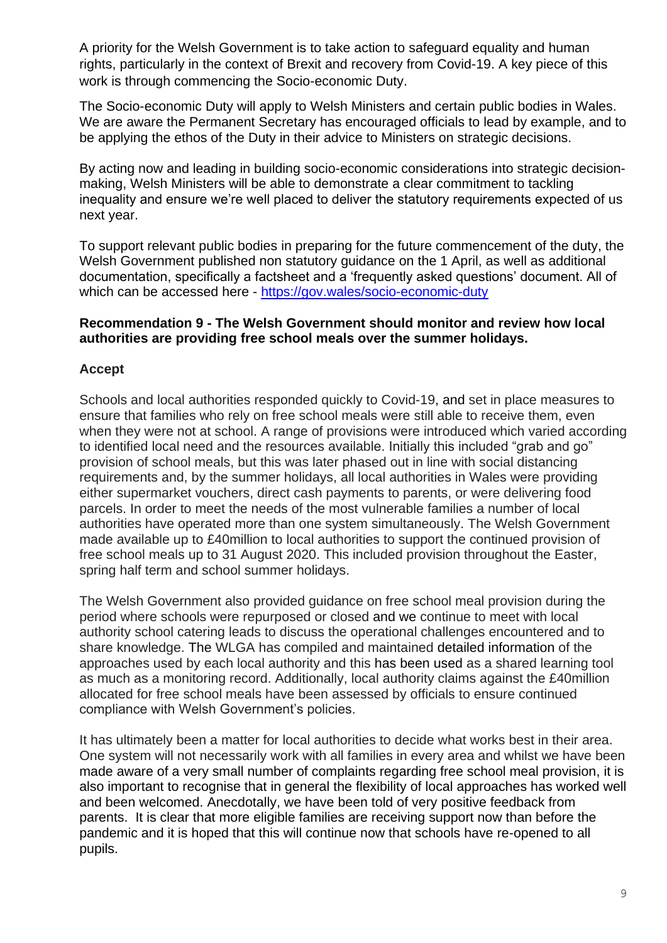A priority for the Welsh Government is to take action to safeguard equality and human rights, particularly in the context of Brexit and recovery from Covid-19. A key piece of this work is through commencing the Socio-economic Duty.

The Socio-economic Duty will apply to Welsh Ministers and certain public bodies in Wales. We are aware the Permanent Secretary has encouraged officials to lead by example, and to be applying the ethos of the Duty in their advice to Ministers on strategic decisions.

By acting now and leading in building socio-economic considerations into strategic decisionmaking, Welsh Ministers will be able to demonstrate a clear commitment to tackling inequality and ensure we're well placed to deliver the statutory requirements expected of us next year.

To support relevant public bodies in preparing for the future commencement of the duty, the Welsh Government published non statutory guidance on the 1 April, as well as additional documentation, specifically a factsheet and a 'frequently asked questions' document. All of which can be accessed here - [https://gov.wales/socio-economic-duty](https://eur01.safelinks.protection.outlook.com/?url=https%3A%2F%2Fgov.wales%2Fsocio-economic-duty&data=02%7C01%7CShane.Williams%40gov.wales%7C2e47900ace1449906d3908d80d52c69b%7Ca2cc36c592804ae78887d06dab89216b%7C0%7C0%7C637273996451483085&sdata=FhjGIjqiWMyDrNewVc6G3rzrxlS2UOIp9drPTBb81uU%3D&reserved=0)

### **Recommendation 9 - The Welsh Government should monitor and review how local authorities are providing free school meals over the summer holidays.**

# **Accept**

Schools and local authorities responded quickly to Covid-19, and set in place measures to ensure that families who rely on free school meals were still able to receive them, even when they were not at school. A range of provisions were introduced which varied according to identified local need and the resources available. Initially this included "grab and go" provision of school meals, but this was later phased out in line with social distancing requirements and, by the summer holidays, all local authorities in Wales were providing either supermarket vouchers, direct cash payments to parents, or were delivering food parcels. In order to meet the needs of the most vulnerable families a number of local authorities have operated more than one system simultaneously. The Welsh Government made available up to £40million to local authorities to support the continued provision of free school meals up to 31 August 2020. This included provision throughout the Easter, spring half term and school summer holidays.

The Welsh Government also provided guidance on free school meal provision during the period where schools were repurposed or closed and we continue to meet with local authority school catering leads to discuss the operational challenges encountered and to share knowledge. The WLGA has compiled and maintained detailed information of the approaches used by each local authority and this has been used as a shared learning tool as much as a monitoring record. Additionally, local authority claims against the £40million allocated for free school meals have been assessed by officials to ensure continued compliance with Welsh Government's policies.

It has ultimately been a matter for local authorities to decide what works best in their area. One system will not necessarily work with all families in every area and whilst we have been made aware of a very small number of complaints regarding free school meal provision, it is also important to recognise that in general the flexibility of local approaches has worked well and been welcomed. Anecdotally, we have been told of very positive feedback from parents. It is clear that more eligible families are receiving support now than before the pandemic and it is hoped that this will continue now that schools have re-opened to all pupils.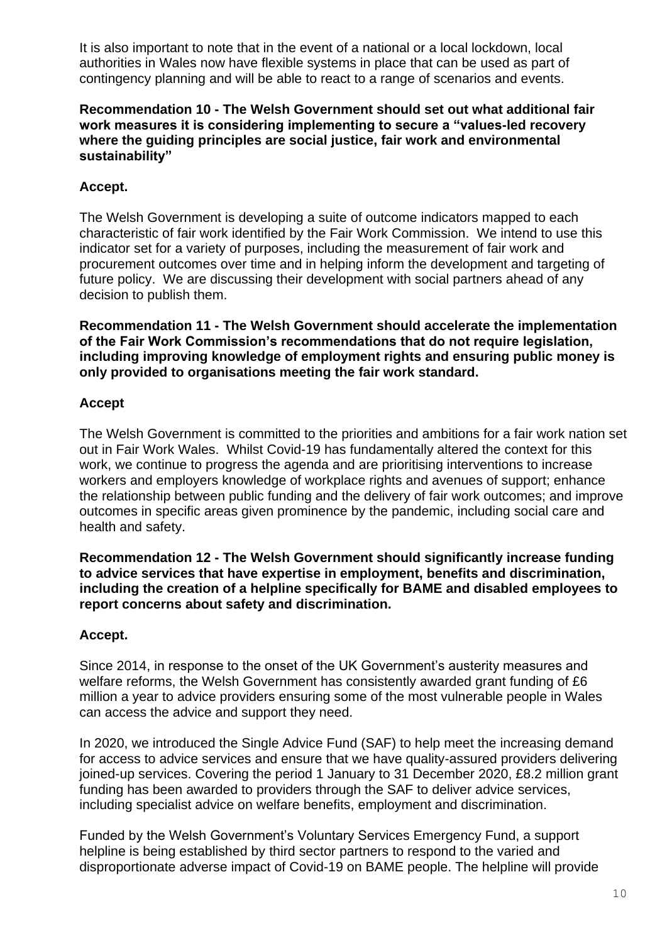It is also important to note that in the event of a national or a local lockdown, local authorities in Wales now have flexible systems in place that can be used as part of contingency planning and will be able to react to a range of scenarios and events.

#### **Recommendation 10 - The Welsh Government should set out what additional fair work measures it is considering implementing to secure a "values-led recovery where the guiding principles are social justice, fair work and environmental sustainability"**

# **Accept.**

The Welsh Government is developing a suite of outcome indicators mapped to each characteristic of fair work identified by the Fair Work Commission. We intend to use this indicator set for a variety of purposes, including the measurement of fair work and procurement outcomes over time and in helping inform the development and targeting of future policy. We are discussing their development with social partners ahead of any decision to publish them.

**Recommendation 11 - The Welsh Government should accelerate the implementation of the Fair Work Commission's recommendations that do not require legislation, including improving knowledge of employment rights and ensuring public money is only provided to organisations meeting the fair work standard.**

# **Accept**

The Welsh Government is committed to the priorities and ambitions for a fair work nation set out in Fair Work Wales. Whilst Covid-19 has fundamentally altered the context for this work, we continue to progress the agenda and are prioritising interventions to increase workers and employers knowledge of workplace rights and avenues of support; enhance the relationship between public funding and the delivery of fair work outcomes; and improve outcomes in specific areas given prominence by the pandemic, including social care and health and safety.

**Recommendation 12 - The Welsh Government should significantly increase funding to advice services that have expertise in employment, benefits and discrimination, including the creation of a helpline specifically for BAME and disabled employees to report concerns about safety and discrimination.**

# **Accept.**

Since 2014, in response to the onset of the UK Government's austerity measures and welfare reforms, the Welsh Government has consistently awarded grant funding of £6 million a year to advice providers ensuring some of the most vulnerable people in Wales can access the advice and support they need.

In 2020, we introduced the Single Advice Fund (SAF) to help meet the increasing demand for access to advice services and ensure that we have quality-assured providers delivering joined-up services. Covering the period 1 January to 31 December 2020, £8.2 million grant funding has been awarded to providers through the SAF to deliver advice services, including specialist advice on welfare benefits, employment and discrimination.

Funded by the Welsh Government's Voluntary Services Emergency Fund, a support helpline is being established by third sector partners to respond to the varied and disproportionate adverse impact of Covid-19 on BAME people. The helpline will provide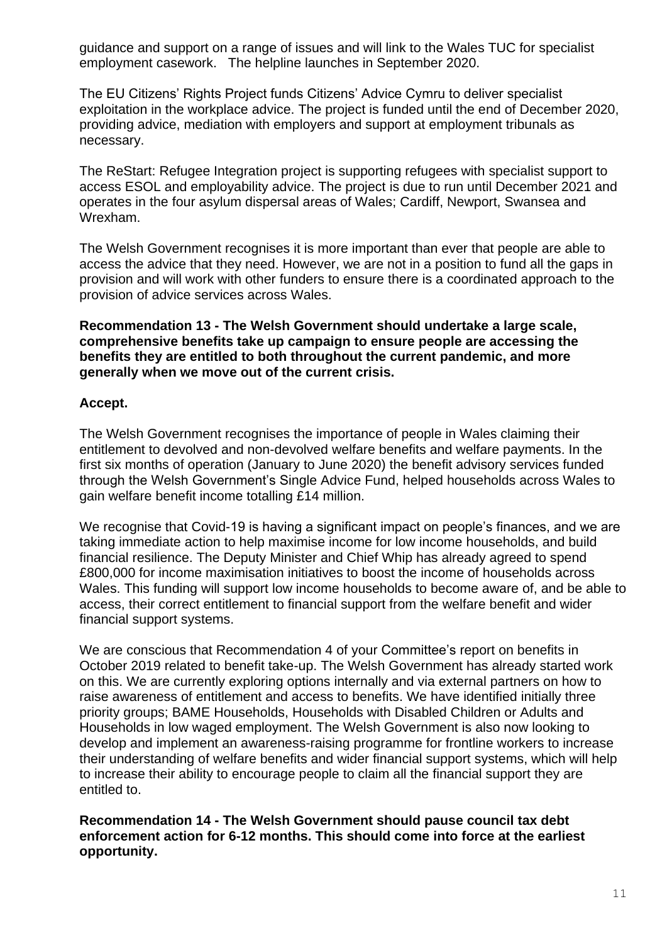guidance and support on a range of issues and will link to the Wales TUC for specialist employment casework. The helpline launches in September 2020.

The EU Citizens' Rights Project funds Citizens' Advice Cymru to deliver specialist exploitation in the workplace advice. The project is funded until the end of December 2020, providing advice, mediation with employers and support at employment tribunals as necessary.

The ReStart: Refugee Integration project is supporting refugees with specialist support to access ESOL and employability advice. The project is due to run until December 2021 and operates in the four asylum dispersal areas of Wales; Cardiff, Newport, Swansea and Wrexham.

The Welsh Government recognises it is more important than ever that people are able to access the advice that they need. However, we are not in a position to fund all the gaps in provision and will work with other funders to ensure there is a coordinated approach to the provision of advice services across Wales.

**Recommendation 13 - The Welsh Government should undertake a large scale, comprehensive benefits take up campaign to ensure people are accessing the benefits they are entitled to both throughout the current pandemic, and more generally when we move out of the current crisis.**

### **Accept.**

The Welsh Government recognises the importance of people in Wales claiming their entitlement to devolved and non-devolved welfare benefits and welfare payments. In the first six months of operation (January to June 2020) the benefit advisory services funded through the Welsh Government's Single Advice Fund, helped households across Wales to gain welfare benefit income totalling £14 million.

We recognise that Covid-19 is having a significant impact on people's finances, and we are taking immediate action to help maximise income for low income households, and build financial resilience. The Deputy Minister and Chief Whip has already agreed to spend £800,000 for income maximisation initiatives to boost the income of households across Wales. This funding will support low income households to become aware of, and be able to access, their correct entitlement to financial support from the welfare benefit and wider financial support systems.

We are conscious that Recommendation 4 of your Committee's report on benefits in October 2019 related to benefit take-up. The Welsh Government has already started work on this. We are currently exploring options internally and via external partners on how to raise awareness of entitlement and access to benefits. We have identified initially three priority groups; BAME Households, Households with Disabled Children or Adults and Households in low waged employment. The Welsh Government is also now looking to develop and implement an awareness-raising programme for frontline workers to increase their understanding of welfare benefits and wider financial support systems, which will help to increase their ability to encourage people to claim all the financial support they are entitled to.

**Recommendation 14 - The Welsh Government should pause council tax debt enforcement action for 6-12 months. This should come into force at the earliest opportunity.**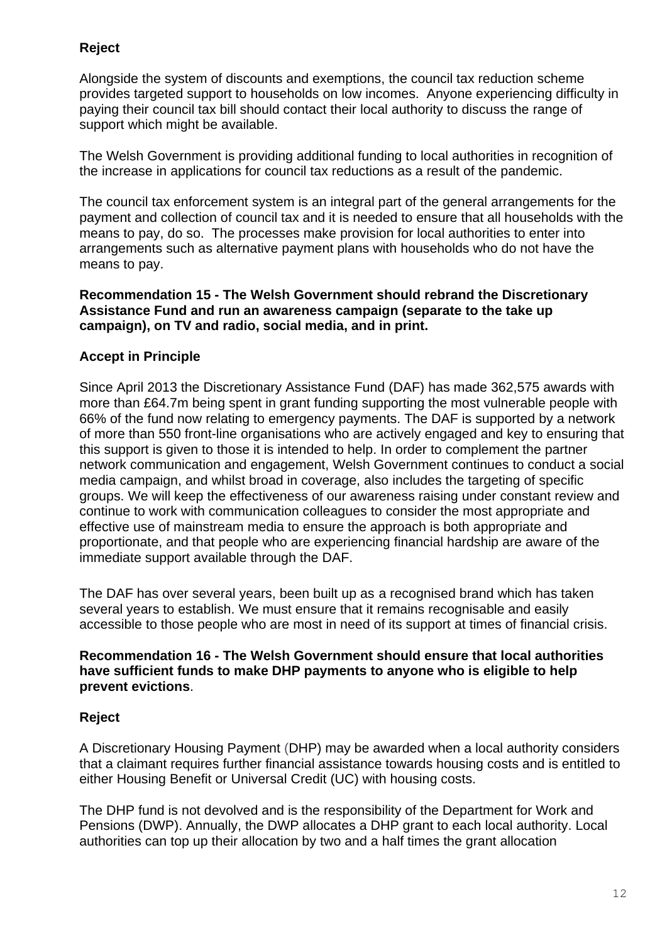# **Reject**

Alongside the system of discounts and exemptions, the council tax reduction scheme provides targeted support to households on low incomes. Anyone experiencing difficulty in paying their council tax bill should contact their local authority to discuss the range of support which might be available.

The Welsh Government is providing additional funding to local authorities in recognition of the increase in applications for council tax reductions as a result of the pandemic.

The council tax enforcement system is an integral part of the general arrangements for the payment and collection of council tax and it is needed to ensure that all households with the means to pay, do so. The processes make provision for local authorities to enter into arrangements such as alternative payment plans with households who do not have the means to pay.

#### **Recommendation 15 - The Welsh Government should rebrand the Discretionary Assistance Fund and run an awareness campaign (separate to the take up campaign), on TV and radio, social media, and in print.**

# **Accept in Principle**

Since April 2013 the Discretionary Assistance Fund (DAF) has made 362,575 awards with more than £64.7m being spent in grant funding supporting the most vulnerable people with 66% of the fund now relating to emergency payments. The DAF is supported by a network of more than 550 front-line organisations who are actively engaged and key to ensuring that this support is given to those it is intended to help. In order to complement the partner network communication and engagement, Welsh Government continues to conduct a social media campaign, and whilst broad in coverage, also includes the targeting of specific groups. We will keep the effectiveness of our awareness raising under constant review and continue to work with communication colleagues to consider the most appropriate and effective use of mainstream media to ensure the approach is both appropriate and proportionate, and that people who are experiencing financial hardship are aware of the immediate support available through the DAF.

The DAF has over several years, been built up as a recognised brand which has taken several years to establish. We must ensure that it remains recognisable and easily accessible to those people who are most in need of its support at times of financial crisis.

#### **Recommendation 16 - The Welsh Government should ensure that local authorities have sufficient funds to make DHP payments to anyone who is eligible to help prevent evictions**.

# **Reject**

A Discretionary Housing Payment (DHP) may be awarded when a local authority considers that a claimant requires further financial assistance towards housing costs and is entitled to either Housing Benefit or Universal Credit (UC) with housing costs.

The DHP fund is not devolved and is the responsibility of the Department for Work and Pensions (DWP). Annually, the DWP allocates a DHP grant to each local authority. Local authorities can top up their allocation by two and a half times the grant allocation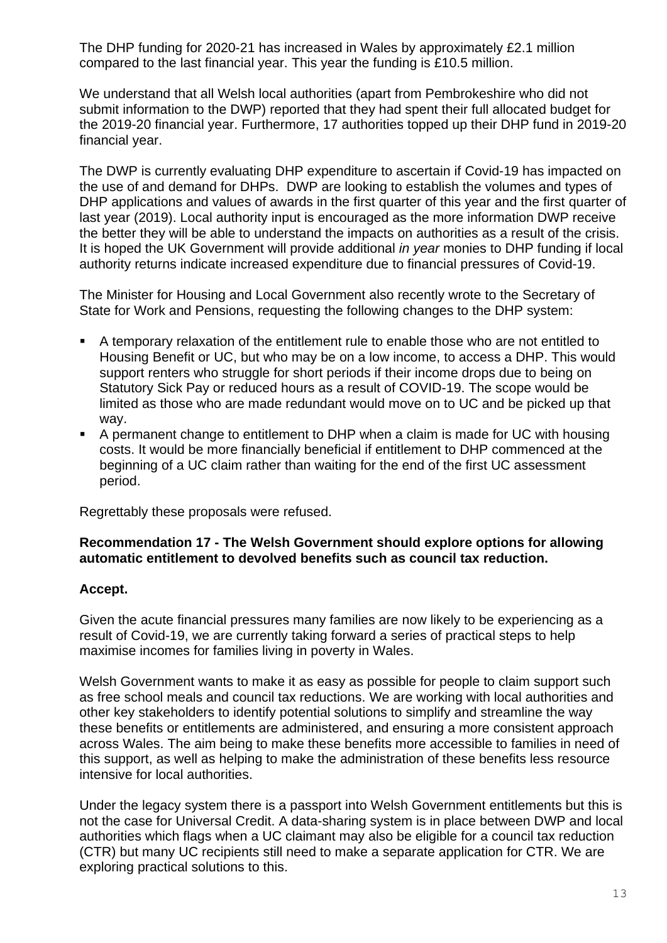The DHP funding for 2020-21 has increased in Wales by approximately £2.1 million compared to the last financial year. This year the funding is £10.5 million.

We understand that all Welsh local authorities (apart from Pembrokeshire who did not submit information to the DWP) reported that they had spent their full allocated budget for the 2019-20 financial year. Furthermore, 17 authorities topped up their DHP fund in 2019-20 financial year.

The DWP is currently evaluating DHP expenditure to ascertain if Covid-19 has impacted on the use of and demand for DHPs. DWP are looking to establish the volumes and types of DHP applications and values of awards in the first quarter of this year and the first quarter of last year (2019). Local authority input is encouraged as the more information DWP receive the better they will be able to understand the impacts on authorities as a result of the crisis. It is hoped the UK Government will provide additional *in year* monies to DHP funding if local authority returns indicate increased expenditure due to financial pressures of Covid-19.

The Minister for Housing and Local Government also recently wrote to the Secretary of State for Work and Pensions, requesting the following changes to the DHP system:

- A temporary relaxation of the entitlement rule to enable those who are not entitled to Housing Benefit or UC, but who may be on a low income, to access a DHP. This would support renters who struggle for short periods if their income drops due to being on Statutory Sick Pay or reduced hours as a result of COVID-19. The scope would be limited as those who are made redundant would move on to UC and be picked up that way.
- A permanent change to entitlement to DHP when a claim is made for UC with housing costs. It would be more financially beneficial if entitlement to DHP commenced at the beginning of a UC claim rather than waiting for the end of the first UC assessment period.

Regrettably these proposals were refused.

### **Recommendation 17 - The Welsh Government should explore options for allowing automatic entitlement to devolved benefits such as council tax reduction.**

# **Accept.**

Given the acute financial pressures many families are now likely to be experiencing as a result of Covid-19, we are currently taking forward a series of practical steps to help maximise incomes for families living in poverty in Wales.

Welsh Government wants to make it as easy as possible for people to claim support such as free school meals and council tax reductions. We are working with local authorities and other key stakeholders to identify potential solutions to simplify and streamline the way these benefits or entitlements are administered, and ensuring a more consistent approach across Wales. The aim being to make these benefits more accessible to families in need of this support, as well as helping to make the administration of these benefits less resource intensive for local authorities.

Under the legacy system there is a passport into Welsh Government entitlements but this is not the case for Universal Credit. A data-sharing system is in place between DWP and local authorities which flags when a UC claimant may also be eligible for a council tax reduction (CTR) but many UC recipients still need to make a separate application for CTR. We are exploring practical solutions to this.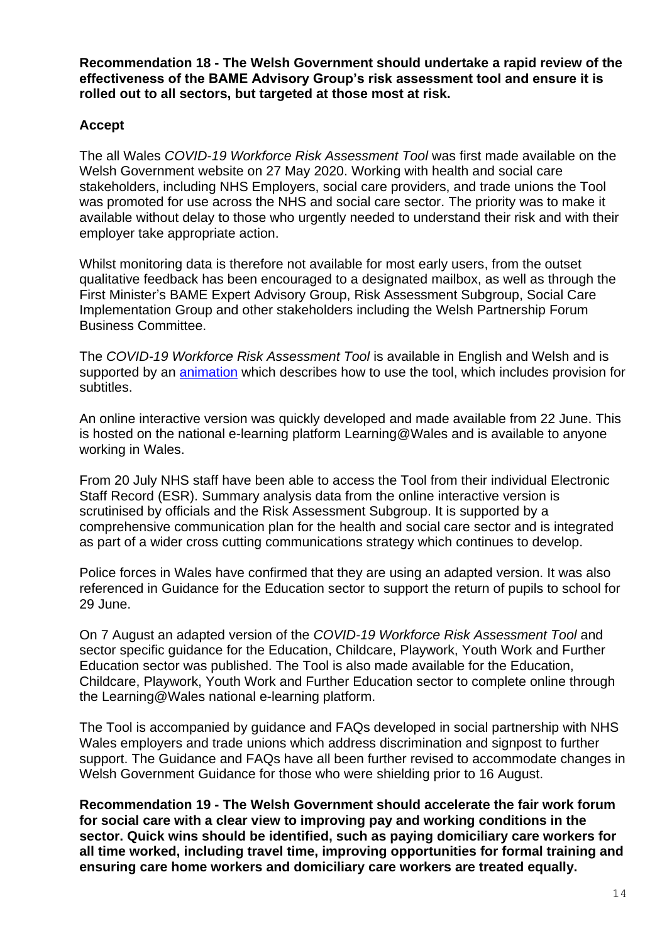**Recommendation 18 - The Welsh Government should undertake a rapid review of the effectiveness of the BAME Advisory Group's risk assessment tool and ensure it is rolled out to all sectors, but targeted at those most at risk.**

# **Accept**

The all Wales *COVID-19 Workforce Risk Assessment Tool* was first made available on the Welsh Government website on 27 May 2020. Working with health and social care stakeholders, including NHS Employers, social care providers, and trade unions the Tool was promoted for use across the NHS and social care sector. The priority was to make it available without delay to those who urgently needed to understand their risk and with their employer take appropriate action.

Whilst monitoring data is therefore not available for most early users, from the outset qualitative feedback has been encouraged to a designated mailbox, as well as through the First Minister's BAME Expert Advisory Group, Risk Assessment Subgroup, Social Care Implementation Group and other stakeholders including the Welsh Partnership Forum Business Committee.

The *COVID-19 Workforce Risk Assessment Tool* is available in English and Welsh and is supported by an *animation* which describes how to use the tool, which includes provision for subtitles.

An online interactive version was quickly developed and made available from 22 June. This is hosted on the national e-learning platform Learning@Wales and is available to anyone working in Wales.

From 20 July NHS staff have been able to access the Tool from their individual Electronic Staff Record (ESR). Summary analysis data from the online interactive version is scrutinised by officials and the Risk Assessment Subgroup. It is supported by a comprehensive communication plan for the health and social care sector and is integrated as part of a wider cross cutting communications strategy which continues to develop.

Police forces in Wales have confirmed that they are using an adapted version. It was also referenced in Guidance for the Education sector to support the return of pupils to school for 29 June.

On 7 August an adapted version of the *COVID-19 Workforce Risk Assessment Tool* and sector specific guidance for the Education, Childcare, Playwork, Youth Work and Further Education sector was published. The Tool is also made available for the Education, Childcare, Playwork, Youth Work and Further Education sector to complete online through the Learning@Wales national e-learning platform.

The Tool is accompanied by guidance and FAQs developed in social partnership with NHS Wales employers and trade unions which address discrimination and signpost to further support. The Guidance and FAQs have all been further revised to accommodate changes in Welsh Government Guidance for those who were shielding prior to 16 August.

**Recommendation 19 - The Welsh Government should accelerate the fair work forum for social care with a clear view to improving pay and working conditions in the sector. Quick wins should be identified, such as paying domiciliary care workers for all time worked, including travel time, improving opportunities for formal training and ensuring care home workers and domiciliary care workers are treated equally.**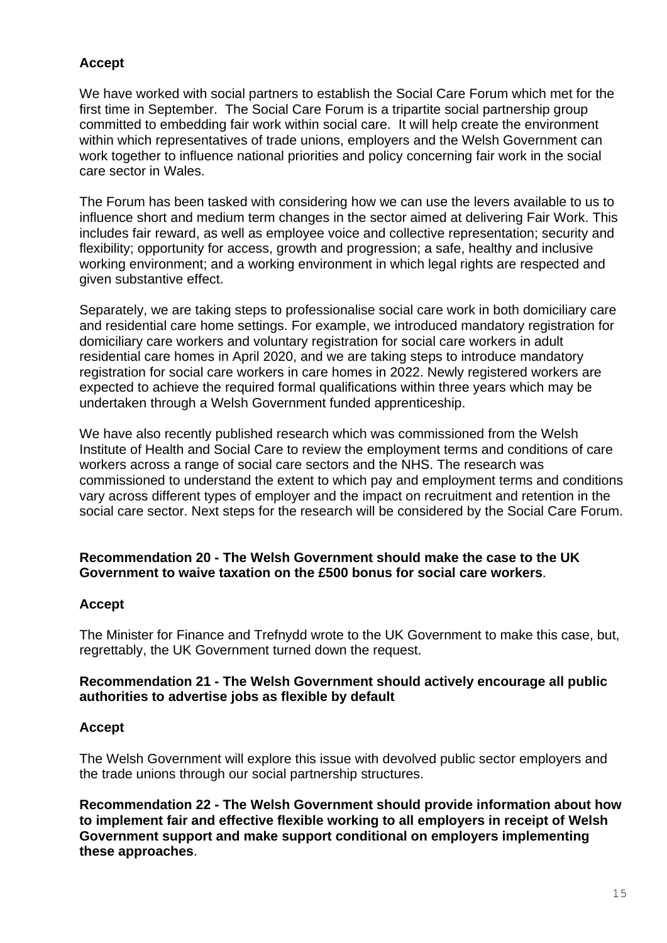# **Accept**

We have worked with social partners to establish the Social Care Forum which met for the first time in September. The Social Care Forum is a tripartite social partnership group committed to embedding fair work within social care. It will help create the environment within which representatives of trade unions, employers and the Welsh Government can work together to influence national priorities and policy concerning fair work in the social care sector in Wales.

The Forum has been tasked with considering how we can use the levers available to us to influence short and medium term changes in the sector aimed at delivering Fair Work. This includes fair reward, as well as employee voice and collective representation; security and flexibility; opportunity for access, growth and progression; a safe, healthy and inclusive working environment; and a working environment in which legal rights are respected and given substantive effect.

Separately, we are taking steps to professionalise social care work in both domiciliary care and residential care home settings. For example, we introduced mandatory registration for domiciliary care workers and voluntary registration for social care workers in adult residential care homes in April 2020, and we are taking steps to introduce mandatory registration for social care workers in care homes in 2022. Newly registered workers are expected to achieve the required formal qualifications within three years which may be undertaken through a Welsh Government funded apprenticeship.

We have also recently published research which was commissioned from the Welsh Institute of Health and Social Care to review the employment terms and conditions of care workers across a range of social care sectors and the NHS. The research was commissioned to understand the extent to which pay and employment terms and conditions vary across different types of employer and the impact on recruitment and retention in the social care sector. Next steps for the research will be considered by the Social Care Forum.

### **Recommendation 20 - The Welsh Government should make the case to the UK Government to waive taxation on the £500 bonus for social care workers**.

#### **Accept**

The Minister for Finance and Trefnydd wrote to the UK Government to make this case, but, regrettably, the UK Government turned down the request.

#### **Recommendation 21 - The Welsh Government should actively encourage all public authorities to advertise jobs as flexible by default**

#### **Accept**

The Welsh Government will explore this issue with devolved public sector employers and the trade unions through our social partnership structures.

**Recommendation 22 - The Welsh Government should provide information about how to implement fair and effective flexible working to all employers in receipt of Welsh Government support and make support conditional on employers implementing these approaches**.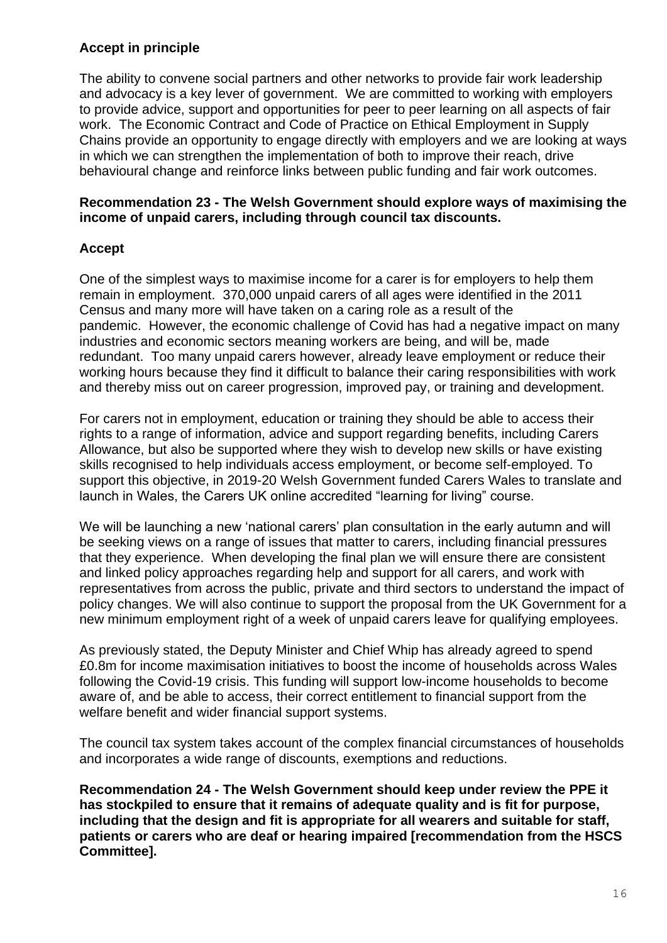# **Accept in principle**

The ability to convene social partners and other networks to provide fair work leadership and advocacy is a key lever of government. We are committed to working with employers to provide advice, support and opportunities for peer to peer learning on all aspects of fair work. The Economic Contract and Code of Practice on Ethical Employment in Supply Chains provide an opportunity to engage directly with employers and we are looking at ways in which we can strengthen the implementation of both to improve their reach, drive behavioural change and reinforce links between public funding and fair work outcomes.

### **Recommendation 23 - The Welsh Government should explore ways of maximising the income of unpaid carers, including through council tax discounts.**

# **Accept**

One of the simplest ways to maximise income for a carer is for employers to help them remain in employment. 370,000 unpaid carers of all ages were identified in the 2011 Census and many more will have taken on a caring role as a result of the pandemic. However, the economic challenge of Covid has had a negative impact on many industries and economic sectors meaning workers are being, and will be, made redundant. Too many unpaid carers however, already leave employment or reduce their working hours because they find it difficult to balance their caring responsibilities with work and thereby miss out on career progression, improved pay, or training and development.

For carers not in employment, education or training they should be able to access their rights to a range of information, advice and support regarding benefits, including Carers Allowance, but also be supported where they wish to develop new skills or have existing skills recognised to help individuals access employment, or become self-employed. To support this objective, in 2019-20 Welsh Government funded Carers Wales to translate and launch in Wales, the Carers UK online accredited "learning for living" course.

We will be launching a new 'national carers' plan consultation in the early autumn and will be seeking views on a range of issues that matter to carers, including financial pressures that they experience. When developing the final plan we will ensure there are consistent and linked policy approaches regarding help and support for all carers, and work with representatives from across the public, private and third sectors to understand the impact of policy changes. We will also continue to support the proposal from the UK Government for a new minimum employment right of a week of unpaid carers leave for qualifying employees.

As previously stated, the Deputy Minister and Chief Whip has already agreed to spend £0.8m for income maximisation initiatives to boost the income of households across Wales following the Covid-19 crisis. This funding will support low-income households to become aware of, and be able to access, their correct entitlement to financial support from the welfare benefit and wider financial support systems.

The council tax system takes account of the complex financial circumstances of households and incorporates a wide range of discounts, exemptions and reductions.

**Recommendation 24 - The Welsh Government should keep under review the PPE it has stockpiled to ensure that it remains of adequate quality and is fit for purpose, including that the design and fit is appropriate for all wearers and suitable for staff, patients or carers who are deaf or hearing impaired [recommendation from the HSCS Committee].**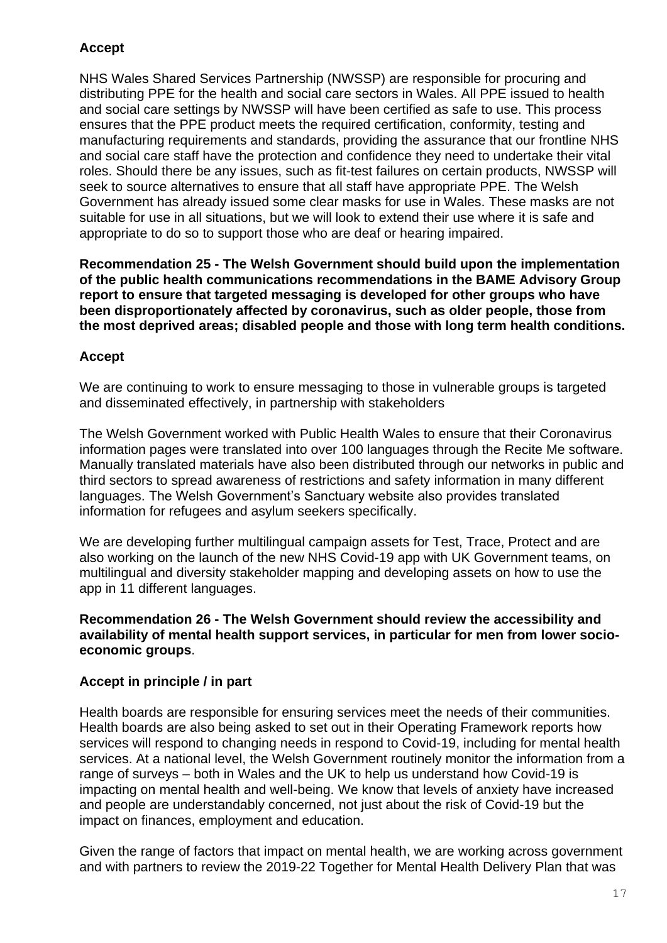# **Accept**

NHS Wales Shared Services Partnership (NWSSP) are responsible for procuring and distributing PPE for the health and social care sectors in Wales. All PPE issued to health and social care settings by NWSSP will have been certified as safe to use. This process ensures that the PPE product meets the required certification, conformity, testing and manufacturing requirements and standards, providing the assurance that our frontline NHS and social care staff have the protection and confidence they need to undertake their vital roles. Should there be any issues, such as fit-test failures on certain products, NWSSP will seek to source alternatives to ensure that all staff have appropriate PPE. The Welsh Government has already issued some clear masks for use in Wales. These masks are not suitable for use in all situations, but we will look to extend their use where it is safe and appropriate to do so to support those who are deaf or hearing impaired.

**Recommendation 25 - The Welsh Government should build upon the implementation of the public health communications recommendations in the BAME Advisory Group report to ensure that targeted messaging is developed for other groups who have been disproportionately affected by coronavirus, such as older people, those from the most deprived areas; disabled people and those with long term health conditions.**

# **Accept**

We are continuing to work to ensure messaging to those in vulnerable groups is targeted and disseminated effectively, in partnership with stakeholders

The Welsh Government worked with Public Health Wales to ensure that their Coronavirus information pages were translated into over 100 languages through the Recite Me software. Manually translated materials have also been distributed through our networks in public and third sectors to spread awareness of restrictions and safety information in many different languages. The Welsh Government's Sanctuary website also provides translated information for refugees and asylum seekers specifically.

We are developing further multilingual campaign assets for Test, Trace, Protect and are also working on the launch of the new NHS Covid-19 app with UK Government teams, on multilingual and diversity stakeholder mapping and developing assets on how to use the app in 11 different languages.

### **Recommendation 26 - The Welsh Government should review the accessibility and availability of mental health support services, in particular for men from lower socioeconomic groups**.

# **Accept in principle / in part**

Health boards are responsible for ensuring services meet the needs of their communities. Health boards are also being asked to set out in their Operating Framework reports how services will respond to changing needs in respond to Covid-19, including for mental health services. At a national level, the Welsh Government routinely monitor the information from a range of surveys – both in Wales and the UK to help us understand how Covid-19 is impacting on mental health and well-being. We know that levels of anxiety have increased and people are understandably concerned, not just about the risk of Covid-19 but the impact on finances, employment and education.

Given the range of factors that impact on mental health, we are working across government and with partners to review the 2019-22 Together for Mental Health Delivery Plan that was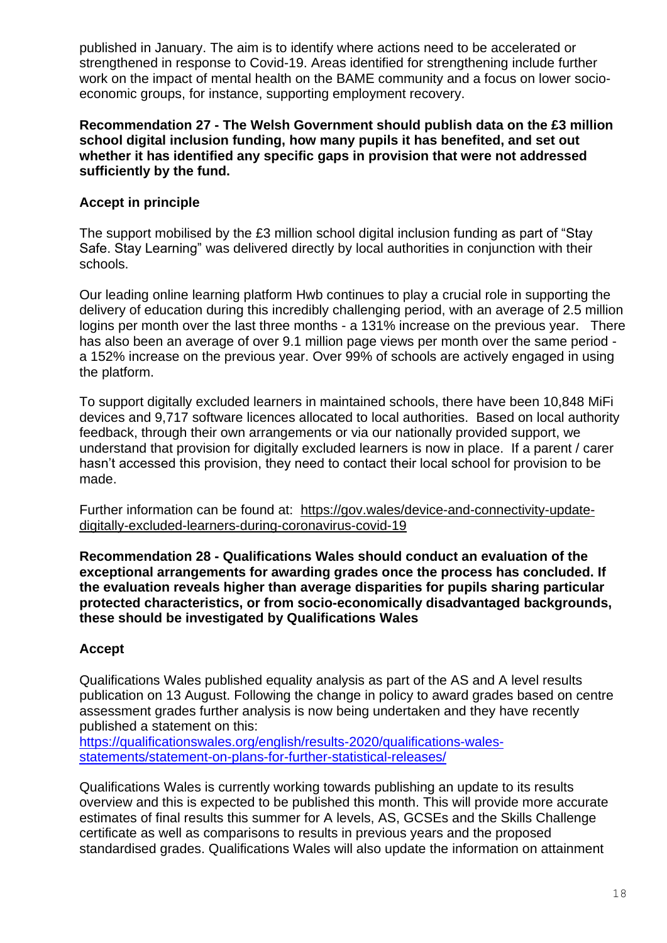published in January. The aim is to identify where actions need to be accelerated or strengthened in response to Covid-19. Areas identified for strengthening include further work on the impact of mental health on the BAME community and a focus on lower socioeconomic groups, for instance, supporting employment recovery.

### **Recommendation 27 - The Welsh Government should publish data on the £3 million school digital inclusion funding, how many pupils it has benefited, and set out whether it has identified any specific gaps in provision that were not addressed sufficiently by the fund.**

# **Accept in principle**

The support mobilised by the £3 million school digital inclusion funding as part of "Stay Safe. Stay Learning" was delivered directly by local authorities in conjunction with their schools.

Our leading online learning platform Hwb continues to play a crucial role in supporting the delivery of education during this incredibly challenging period, with an average of 2.5 million logins per month over the last three months - a 131% increase on the previous year. There has also been an average of over 9.1 million page views per month over the same period a 152% increase on the previous year. Over 99% of schools are actively engaged in using the platform.

To support digitally excluded learners in maintained schools, there have been 10,848 MiFi devices and 9,717 software licences allocated to local authorities. Based on local authority feedback, through their own arrangements or via our nationally provided support, we understand that provision for digitally excluded learners is now in place. If a parent / carer hasn't accessed this provision, they need to contact their local school for provision to be made.

Further information can be found at: [https://gov.wales/device-and-connectivity-update](https://eur01.safelinks.protection.outlook.com/?url=https%3A%2F%2Fgov.wales%2Fdevice-and-connectivity-update-digitally-excluded-learners-during-coronavirus-covid-19&data=02%7C01%7CGlynis.Wilson%40gov.wales%7Cf43666a37c2f4520096b08d833d1784e%7Ca2cc36c592804ae78887d06dab89216b%7C0%7C0%7C637316322038657927&sdata=YFLgMarCuugqceB5mVQMIYzW8IMBzcRV7h5VdUWTTnw%3D&reserved=0)[digitally-excluded-learners-during-coronavirus-covid-19](https://eur01.safelinks.protection.outlook.com/?url=https%3A%2F%2Fgov.wales%2Fdevice-and-connectivity-update-digitally-excluded-learners-during-coronavirus-covid-19&data=02%7C01%7CGlynis.Wilson%40gov.wales%7Cf43666a37c2f4520096b08d833d1784e%7Ca2cc36c592804ae78887d06dab89216b%7C0%7C0%7C637316322038657927&sdata=YFLgMarCuugqceB5mVQMIYzW8IMBzcRV7h5VdUWTTnw%3D&reserved=0)

**Recommendation 28 - Qualifications Wales should conduct an evaluation of the exceptional arrangements for awarding grades once the process has concluded. If the evaluation reveals higher than average disparities for pupils sharing particular protected characteristics, or from socio-economically disadvantaged backgrounds, these should be investigated by Qualifications Wales**

# **Accept**

Qualifications Wales published equality analysis as part of the AS and A level results publication on 13 August. Following the change in policy to award grades based on centre assessment grades further analysis is now being undertaken and they have recently published a statement on this:

[https://qualificationswales.org/english/results-2020/qualifications-wales](https://eur01.safelinks.protection.outlook.com/?url=https%3A%2F%2Fqualificationswales.org%2Fenglish%2Fresults-2020%2Fqualifications-wales-statements%2Fstatement-on-plans-for-further-statistical-releases%2F&data=02%7C01%7CEPSGovernmentBusiness%40gov.wales%7Cbe7d6089a59e427839a208d8501b12e4%7Ca2cc36c592804ae78887d06dab89216b%7C0%7C0%7C637347424523214876&sdata=teiFzkzWHnlVmzx7BU2bqXNf0njlqeLQiOGCTBcRc2k%3D&reserved=0)[statements/statement-on-plans-for-further-statistical-releases/](https://eur01.safelinks.protection.outlook.com/?url=https%3A%2F%2Fqualificationswales.org%2Fenglish%2Fresults-2020%2Fqualifications-wales-statements%2Fstatement-on-plans-for-further-statistical-releases%2F&data=02%7C01%7CEPSGovernmentBusiness%40gov.wales%7Cbe7d6089a59e427839a208d8501b12e4%7Ca2cc36c592804ae78887d06dab89216b%7C0%7C0%7C637347424523214876&sdata=teiFzkzWHnlVmzx7BU2bqXNf0njlqeLQiOGCTBcRc2k%3D&reserved=0)

Qualifications Wales is currently working towards publishing an update to its results overview and this is expected to be published this month. This will provide more accurate estimates of final results this summer for A levels, AS, GCSEs and the Skills Challenge certificate as well as comparisons to results in previous years and the proposed standardised grades. Qualifications Wales will also update the information on attainment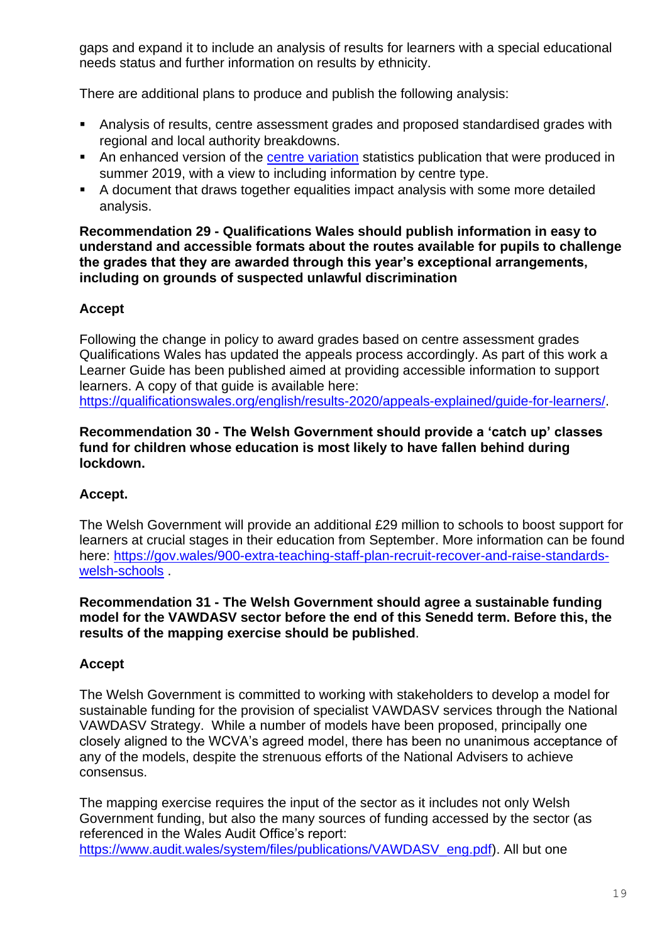gaps and expand it to include an analysis of results for learners with a special educational needs status and further information on results by ethnicity.

There are additional plans to produce and publish the following analysis:

- Analysis of results, centre assessment grades and proposed standardised grades with regional and local authority breakdowns.
- An enhanced version of the [centre variation](https://eur01.safelinks.protection.outlook.com/?url=https%3A%2F%2Fwww.qualificationswales.org%2Fenglish%2Fpublications%2Fcentre-level-results-summer-2019-wales%2F&data=02%7C01%7CEPSGovernmentBusiness%40gov.wales%7Cbe7d6089a59e427839a208d8501b12e4%7Ca2cc36c592804ae78887d06dab89216b%7C0%7C0%7C637347424523214876&sdata=AyIAeN2gEYF%2Fqz6g2A4S6LI%2BHsgv7cgpnXe4sskc4Ug%3D&reserved=0) statistics publication that were produced in summer 2019, with a view to including information by centre type.
- A document that draws together equalities impact analysis with some more detailed analysis.

#### **Recommendation 29 - Qualifications Wales should publish information in easy to understand and accessible formats about the routes available for pupils to challenge the grades that they are awarded through this year's exceptional arrangements, including on grounds of suspected unlawful discrimination**

# **Accept**

Following the change in policy to award grades based on centre assessment grades Qualifications Wales has updated the appeals process accordingly. As part of this work a Learner Guide has been published aimed at providing accessible information to support learners. A copy of that guide is available here: [https://qualificationswales.org/english/results-2020/appeals-explained/guide-for-learners/.](https://qualificationswales.org/english/results-2020/appeals-explained/guide-for-learners/)

### **Recommendation 30 - The Welsh Government should provide a 'catch up' classes fund for children whose education is most likely to have fallen behind during lockdown.**

# **Accept.**

The Welsh Government will provide an additional £29 million to schools to boost support for learners at crucial stages in their education from September. More information can be found here: [https://gov.wales/900-extra-teaching-staff-plan-recruit-recover-and-raise-standards](https://eur01.safelinks.protection.outlook.com/?url=https%3A%2F%2Fgov.wales%2F900-extra-teaching-staff-plan-recruit-recover-and-raise-standards-welsh-schools&data=02%7C01%7CEPSGovernmentBusiness%40gov.wales%7C35171cadb8884ca88ee708d8402ac5b4%7Ca2cc36c592804ae78887d06dab89216b%7C0%7C0%7C637329899726724968&sdata=x%2BF0SJGil0NBdiHW5VYaaYArM22XMvCIz65p4gWtA%2FM%3D&reserved=0)[welsh-schools](https://eur01.safelinks.protection.outlook.com/?url=https%3A%2F%2Fgov.wales%2F900-extra-teaching-staff-plan-recruit-recover-and-raise-standards-welsh-schools&data=02%7C01%7CEPSGovernmentBusiness%40gov.wales%7C35171cadb8884ca88ee708d8402ac5b4%7Ca2cc36c592804ae78887d06dab89216b%7C0%7C0%7C637329899726724968&sdata=x%2BF0SJGil0NBdiHW5VYaaYArM22XMvCIz65p4gWtA%2FM%3D&reserved=0) .

#### **Recommendation 31 - The Welsh Government should agree a sustainable funding model for the VAWDASV sector before the end of this Senedd term. Before this, the results of the mapping exercise should be published**.

# **Accept**

The Welsh Government is committed to working with stakeholders to develop a model for sustainable funding for the provision of specialist VAWDASV services through the National VAWDASV Strategy. While a number of models have been proposed, principally one closely aligned to the WCVA's agreed model, there has been no unanimous acceptance of any of the models, despite the strenuous efforts of the National Advisers to achieve consensus.

The mapping exercise requires the input of the sector as it includes not only Welsh Government funding, but also the many sources of funding accessed by the sector (as referenced in the Wales Audit Office's report: [https://www.audit.wales/system/files/publications/VAWDASV\\_eng.pdf\)](https://www.audit.wales/system/files/publications/VAWDASV_eng.pdf). All but one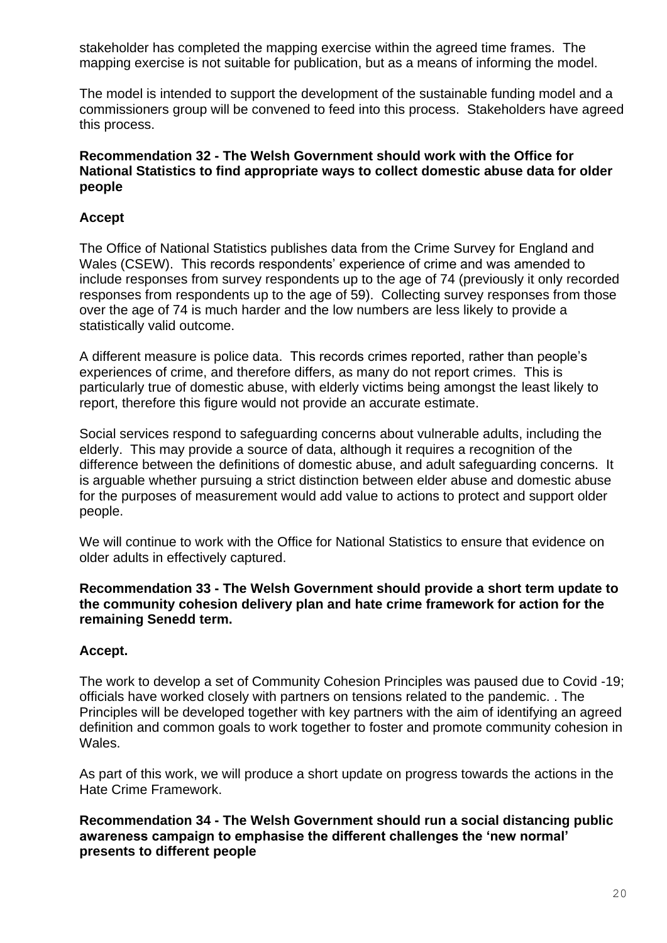stakeholder has completed the mapping exercise within the agreed time frames. The mapping exercise is not suitable for publication, but as a means of informing the model.

The model is intended to support the development of the sustainable funding model and a commissioners group will be convened to feed into this process. Stakeholders have agreed this process.

### **Recommendation 32 - The Welsh Government should work with the Office for National Statistics to find appropriate ways to collect domestic abuse data for older people**

# **Accept**

The Office of National Statistics publishes data from the Crime Survey for England and Wales (CSEW). This records respondents' experience of crime and was amended to include responses from survey respondents up to the age of 74 (previously it only recorded responses from respondents up to the age of 59). Collecting survey responses from those over the age of 74 is much harder and the low numbers are less likely to provide a statistically valid outcome.

A different measure is police data. This records crimes reported, rather than people's experiences of crime, and therefore differs, as many do not report crimes. This is particularly true of domestic abuse, with elderly victims being amongst the least likely to report, therefore this figure would not provide an accurate estimate.

Social services respond to safeguarding concerns about vulnerable adults, including the elderly. This may provide a source of data, although it requires a recognition of the difference between the definitions of domestic abuse, and adult safeguarding concerns. It is arguable whether pursuing a strict distinction between elder abuse and domestic abuse for the purposes of measurement would add value to actions to protect and support older people.

We will continue to work with the Office for National Statistics to ensure that evidence on older adults in effectively captured.

#### **Recommendation 33 - The Welsh Government should provide a short term update to the community cohesion delivery plan and hate crime framework for action for the remaining Senedd term.**

# **Accept.**

The work to develop a set of Community Cohesion Principles was paused due to Covid -19; officials have worked closely with partners on tensions related to the pandemic. . The Principles will be developed together with key partners with the aim of identifying an agreed definition and common goals to work together to foster and promote community cohesion in Wales.

As part of this work, we will produce a short update on progress towards the actions in the Hate Crime Framework.

### **Recommendation 34 - The Welsh Government should run a social distancing public awareness campaign to emphasise the different challenges the 'new normal' presents to different people**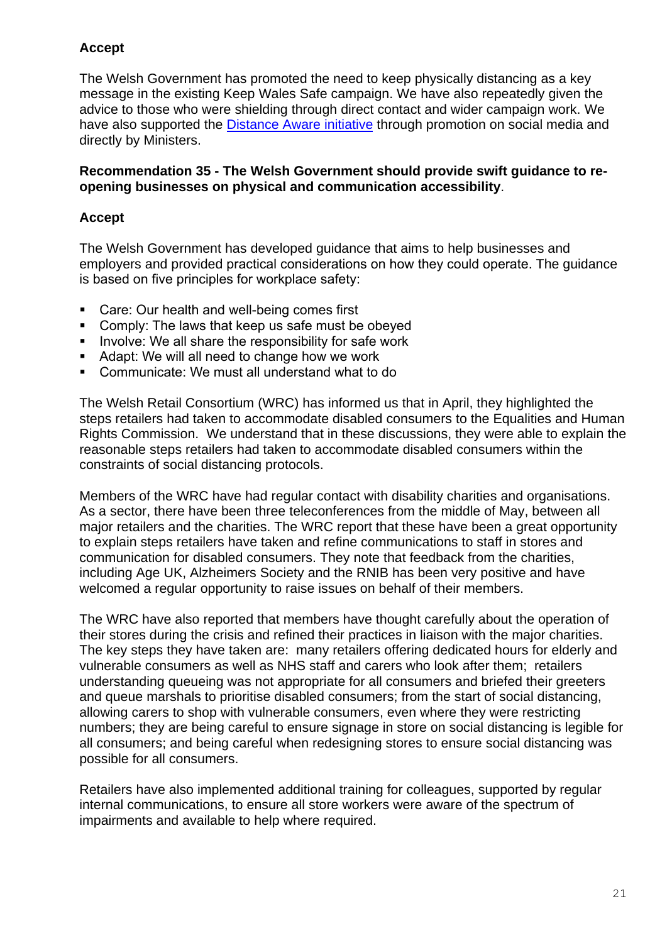# **Accept**

The Welsh Government has promoted the need to keep physically distancing as a key message in the existing Keep Wales Safe campaign. We have also repeatedly given the advice to those who were shielding through direct contact and wider campaign work. We have also supported the [Distance Aware initiative](https://eur01.safelinks.protection.outlook.com/?url=https%3A%2F%2Fwww.bevancommission.org%2Fdistance-aware&data=02%7C01%7CEPSGovernmentBusiness%40gov.wales%7Cd74dee25ef8b481c070008d854bc3f2f%7Ca2cc36c592804ae78887d06dab89216b%7C0%7C0%7C637352514769802863&sdata=llJHQoKqyiSw5ny6gYdETErmr%2BbOzZw%2BVVgcCYjYsmI%3D&reserved=0) through promotion on social media and directly by Ministers.

### **Recommendation 35 - The Welsh Government should provide swift guidance to reopening businesses on physical and communication accessibility**.

# **Accept**

The Welsh Government has developed guidance that aims to help businesses and employers and provided practical considerations on how they could operate. The guidance is based on five principles for workplace safety:

- Care: Our health and well-being comes first
- **Comply: The laws that keep us safe must be obeyed**
- **IDED** Involve: We all share the responsibility for safe work
- Adapt: We will all need to change how we work
- Communicate: We must all understand what to do

The Welsh Retail Consortium (WRC) has informed us that in April, they highlighted the steps retailers had taken to accommodate disabled consumers to the Equalities and Human Rights Commission. We understand that in these discussions, they were able to explain the reasonable steps retailers had taken to accommodate disabled consumers within the constraints of social distancing protocols.

Members of the WRC have had regular contact with disability charities and organisations. As a sector, there have been three teleconferences from the middle of May, between all major retailers and the charities. The WRC report that these have been a great opportunity to explain steps retailers have taken and refine communications to staff in stores and communication for disabled consumers. They note that feedback from the charities, including Age UK, Alzheimers Society and the RNIB has been very positive and have welcomed a regular opportunity to raise issues on behalf of their members.

The WRC have also reported that members have thought carefully about the operation of their stores during the crisis and refined their practices in liaison with the major charities. The key steps they have taken are: many retailers offering dedicated hours for elderly and vulnerable consumers as well as NHS staff and carers who look after them; retailers understanding queueing was not appropriate for all consumers and briefed their greeters and queue marshals to prioritise disabled consumers; from the start of social distancing, allowing carers to shop with vulnerable consumers, even where they were restricting numbers; they are being careful to ensure signage in store on social distancing is legible for all consumers; and being careful when redesigning stores to ensure social distancing was possible for all consumers.

Retailers have also implemented additional training for colleagues, supported by regular internal communications, to ensure all store workers were aware of the spectrum of impairments and available to help where required.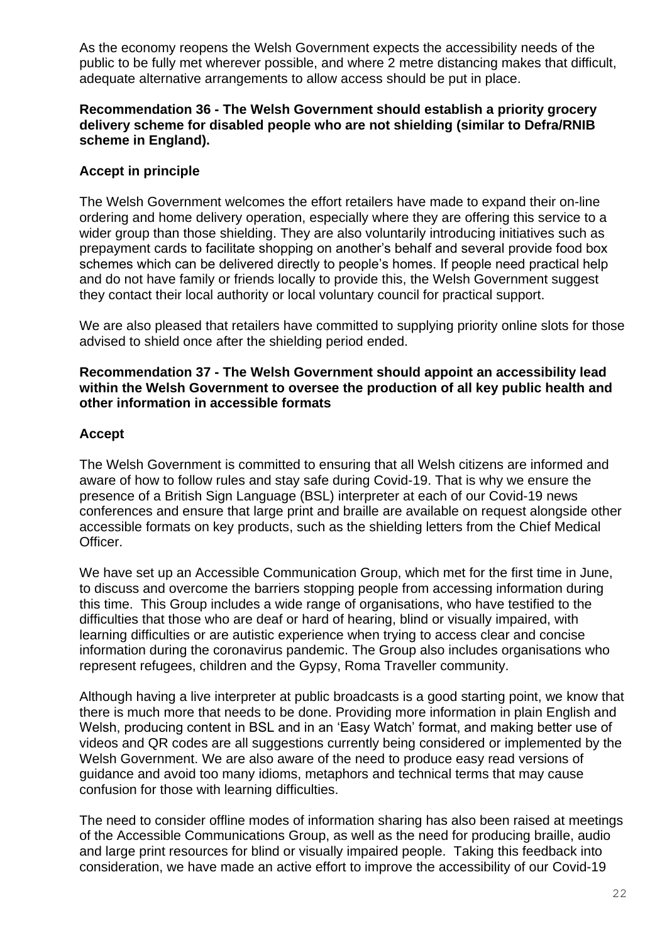As the economy reopens the Welsh Government expects the accessibility needs of the public to be fully met wherever possible, and where 2 metre distancing makes that difficult, adequate alternative arrangements to allow access should be put in place.

### **Recommendation 36 - The Welsh Government should establish a priority grocery delivery scheme for disabled people who are not shielding (similar to Defra/RNIB scheme in England).**

# **Accept in principle**

The Welsh Government welcomes the effort retailers have made to expand their on-line ordering and home delivery operation, especially where they are offering this service to a wider group than those shielding. They are also voluntarily introducing initiatives such as prepayment cards to facilitate shopping on another's behalf and several provide food box schemes which can be delivered directly to people's homes. If people need practical help and do not have family or friends locally to provide this, the Welsh Government suggest they contact their local authority or local voluntary council for practical support.

We are also pleased that retailers have committed to supplying priority online slots for those advised to shield once after the shielding period ended.

#### **Recommendation 37 - The Welsh Government should appoint an accessibility lead within the Welsh Government to oversee the production of all key public health and other information in accessible formats**

# **Accept**

The Welsh Government is committed to ensuring that all Welsh citizens are informed and aware of how to follow rules and stay safe during Covid-19. That is why we ensure the presence of a British Sign Language (BSL) interpreter at each of our Covid-19 news conferences and ensure that large print and braille are available on request alongside other accessible formats on key products, such as the shielding letters from the Chief Medical Officer.

We have set up an Accessible Communication Group, which met for the first time in June, to discuss and overcome the barriers stopping people from accessing information during this time. This Group includes a wide range of organisations, who have testified to the difficulties that those who are deaf or hard of hearing, blind or visually impaired, with learning difficulties or are autistic experience when trying to access clear and concise information during the coronavirus pandemic. The Group also includes organisations who represent refugees, children and the Gypsy, Roma Traveller community.

Although having a live interpreter at public broadcasts is a good starting point, we know that there is much more that needs to be done. Providing more information in plain English and Welsh, producing content in BSL and in an 'Easy Watch' format, and making better use of videos and QR codes are all suggestions currently being considered or implemented by the Welsh Government. We are also aware of the need to produce easy read versions of guidance and avoid too many idioms, metaphors and technical terms that may cause confusion for those with learning difficulties.

The need to consider offline modes of information sharing has also been raised at meetings of the Accessible Communications Group, as well as the need for producing braille, audio and large print resources for blind or visually impaired people. Taking this feedback into consideration, we have made an active effort to improve the accessibility of our Covid-19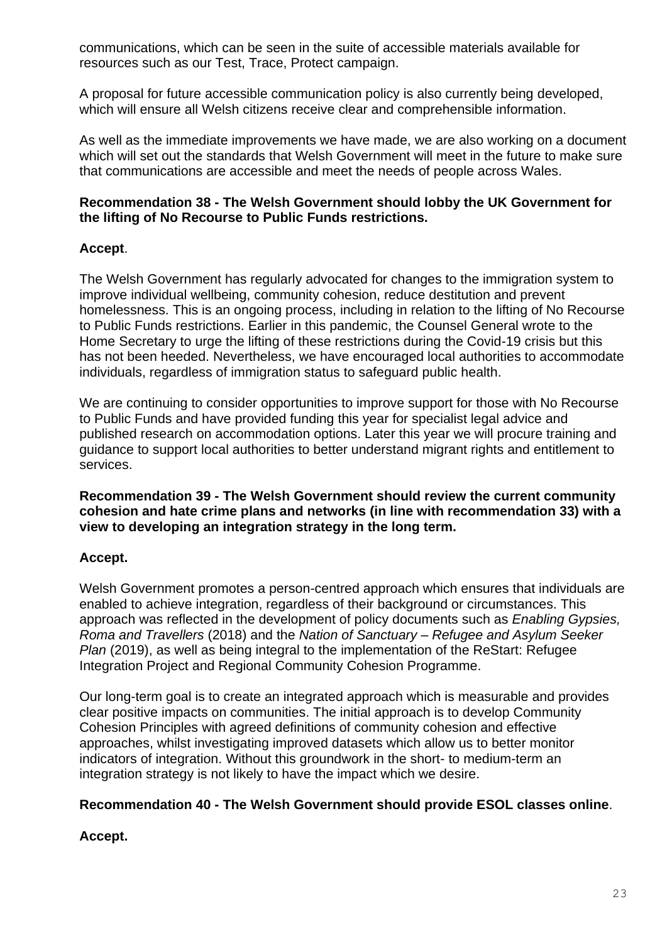communications, which can be seen in the suite of accessible materials available for resources such as our Test, Trace, Protect campaign.

A proposal for future accessible communication policy is also currently being developed, which will ensure all Welsh citizens receive clear and comprehensible information.

As well as the immediate improvements we have made, we are also working on a document which will set out the standards that Welsh Government will meet in the future to make sure that communications are accessible and meet the needs of people across Wales.

### **Recommendation 38 - The Welsh Government should lobby the UK Government for the lifting of No Recourse to Public Funds restrictions.**

# **Accept**.

The Welsh Government has regularly advocated for changes to the immigration system to improve individual wellbeing, community cohesion, reduce destitution and prevent homelessness. This is an ongoing process, including in relation to the lifting of No Recourse to Public Funds restrictions. Earlier in this pandemic, the Counsel General wrote to the Home Secretary to urge the lifting of these restrictions during the Covid-19 crisis but this has not been heeded. Nevertheless, we have encouraged local authorities to accommodate individuals, regardless of immigration status to safeguard public health.

We are continuing to consider opportunities to improve support for those with No Recourse to Public Funds and have provided funding this year for specialist legal advice and published research on accommodation options. Later this year we will procure training and guidance to support local authorities to better understand migrant rights and entitlement to services.

**Recommendation 39 - The Welsh Government should review the current community cohesion and hate crime plans and networks (in line with recommendation 33) with a view to developing an integration strategy in the long term.**

# **Accept.**

Welsh Government promotes a person-centred approach which ensures that individuals are enabled to achieve integration, regardless of their background or circumstances. This approach was reflected in the development of policy documents such as *Enabling Gypsies, Roma and Travellers* (2018) and the *Nation of Sanctuary – Refugee and Asylum Seeker Plan* (2019), as well as being integral to the implementation of the ReStart: Refugee Integration Project and Regional Community Cohesion Programme.

Our long-term goal is to create an integrated approach which is measurable and provides clear positive impacts on communities. The initial approach is to develop Community Cohesion Principles with agreed definitions of community cohesion and effective approaches, whilst investigating improved datasets which allow us to better monitor indicators of integration. Without this groundwork in the short- to medium-term an integration strategy is not likely to have the impact which we desire.

# **Recommendation 40 - The Welsh Government should provide ESOL classes online**.

# **Accept.**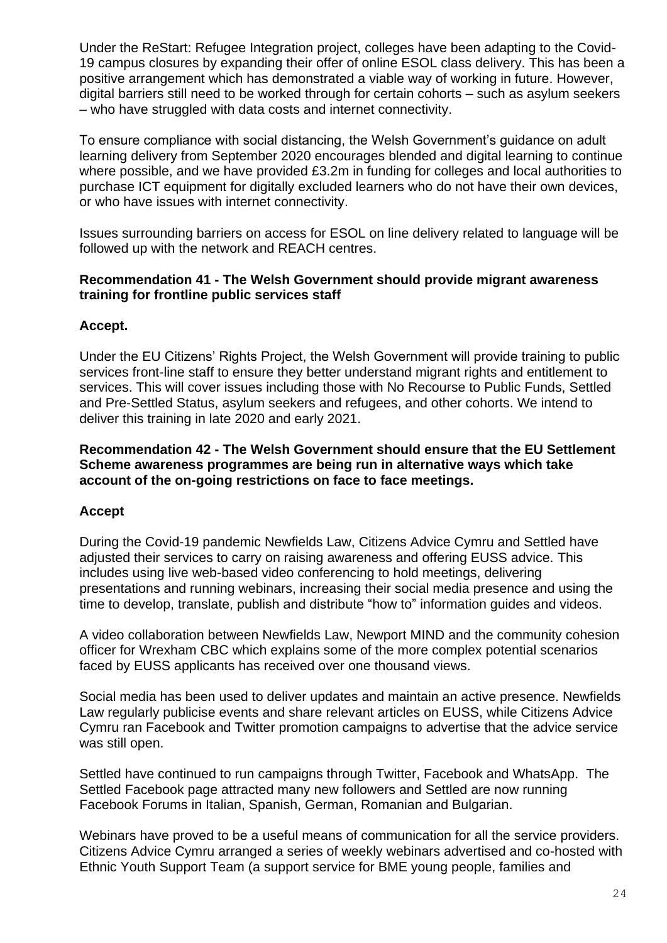Under the ReStart: Refugee Integration project, colleges have been adapting to the Covid-19 campus closures by expanding their offer of online ESOL class delivery. This has been a positive arrangement which has demonstrated a viable way of working in future. However, digital barriers still need to be worked through for certain cohorts – such as asylum seekers – who have struggled with data costs and internet connectivity.

To ensure compliance with social distancing, the Welsh Government's guidance on adult learning delivery from September 2020 encourages blended and digital learning to continue where possible, and we have provided £3.2m in funding for colleges and local authorities to purchase ICT equipment for digitally excluded learners who do not have their own devices, or who have issues with internet connectivity.

Issues surrounding barriers on access for ESOL on line delivery related to language will be followed up with the network and REACH centres.

### **Recommendation 41 - The Welsh Government should provide migrant awareness training for frontline public services staff**

# **Accept.**

Under the EU Citizens' Rights Project, the Welsh Government will provide training to public services front-line staff to ensure they better understand migrant rights and entitlement to services. This will cover issues including those with No Recourse to Public Funds, Settled and Pre-Settled Status, asylum seekers and refugees, and other cohorts. We intend to deliver this training in late 2020 and early 2021.

**Recommendation 42 - The Welsh Government should ensure that the EU Settlement Scheme awareness programmes are being run in alternative ways which take account of the on-going restrictions on face to face meetings.**

# **Accept**

During the Covid-19 pandemic Newfields Law, Citizens Advice Cymru and Settled have adjusted their services to carry on raising awareness and offering EUSS advice. This includes using live web-based video conferencing to hold meetings, delivering presentations and running webinars, increasing their social media presence and using the time to develop, translate, publish and distribute "how to" information guides and videos.

A video collaboration between Newfields Law, Newport MIND and the community cohesion officer for Wrexham CBC which explains some of the more complex potential scenarios faced by EUSS applicants has received over one thousand views.

Social media has been used to deliver updates and maintain an active presence. Newfields Law regularly publicise events and share relevant articles on EUSS, while Citizens Advice Cymru ran Facebook and Twitter promotion campaigns to advertise that the advice service was still open.

Settled have continued to run campaigns through Twitter, Facebook and WhatsApp. The Settled Facebook page attracted many new followers and Settled are now running Facebook Forums in Italian, Spanish, German, Romanian and Bulgarian.

Webinars have proved to be a useful means of communication for all the service providers. Citizens Advice Cymru arranged a series of weekly webinars advertised and co-hosted with Ethnic Youth Support Team (a support service for BME young people, families and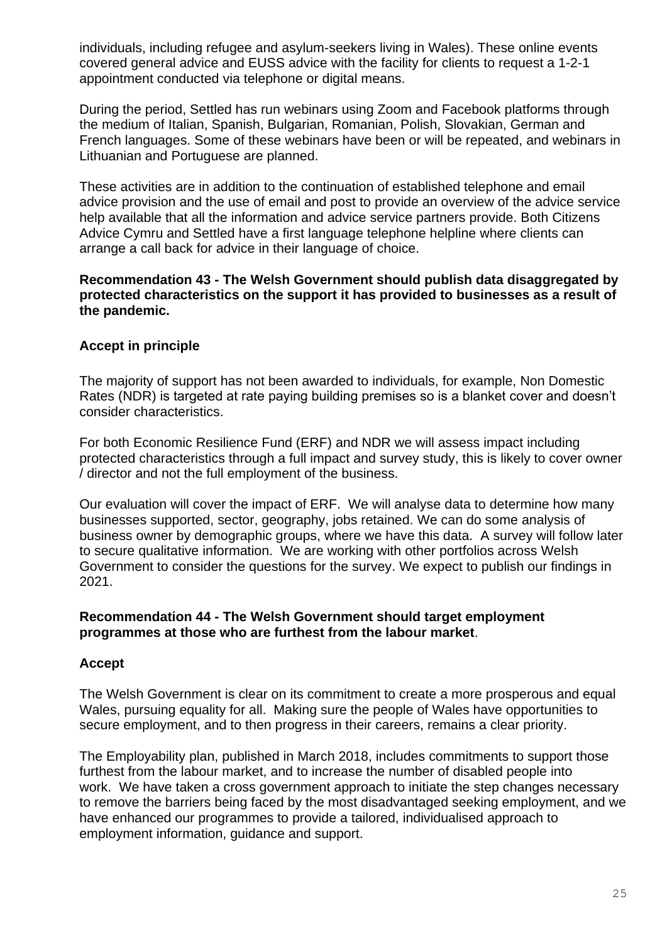individuals, including refugee and asylum-seekers living in Wales). These online events covered general advice and EUSS advice with the facility for clients to request a 1-2-1 appointment conducted via telephone or digital means.

During the period, Settled has run webinars using Zoom and Facebook platforms through the medium of Italian, Spanish, Bulgarian, Romanian, Polish, Slovakian, German and French languages. Some of these webinars have been or will be repeated, and webinars in Lithuanian and Portuguese are planned.

These activities are in addition to the continuation of established telephone and email advice provision and the use of email and post to provide an overview of the advice service help available that all the information and advice service partners provide. Both Citizens Advice Cymru and Settled have a first language telephone helpline where clients can arrange a call back for advice in their language of choice.

### **Recommendation 43 - The Welsh Government should publish data disaggregated by protected characteristics on the support it has provided to businesses as a result of the pandemic.**

# **Accept in principle**

The majority of support has not been awarded to individuals, for example, Non Domestic Rates (NDR) is targeted at rate paying building premises so is a blanket cover and doesn't consider characteristics.

For both Economic Resilience Fund (ERF) and NDR we will assess impact including protected characteristics through a full impact and survey study, this is likely to cover owner / director and not the full employment of the business.

Our evaluation will cover the impact of ERF. We will analyse data to determine how many businesses supported, sector, geography, jobs retained. We can do some analysis of business owner by demographic groups, where we have this data. A survey will follow later to secure qualitative information. We are working with other portfolios across Welsh Government to consider the questions for the survey. We expect to publish our findings in 2021.

### **Recommendation 44 - The Welsh Government should target employment programmes at those who are furthest from the labour market**.

# **Accept**

The Welsh Government is clear on its commitment to create a more prosperous and equal Wales, pursuing equality for all. Making sure the people of Wales have opportunities to secure employment, and to then progress in their careers, remains a clear priority.

The Employability plan, published in March 2018, includes commitments to support those furthest from the labour market, and to increase the number of disabled people into work. We have taken a cross government approach to initiate the step changes necessary to remove the barriers being faced by the most disadvantaged seeking employment, and we have enhanced our programmes to provide a tailored, individualised approach to employment information, guidance and support.